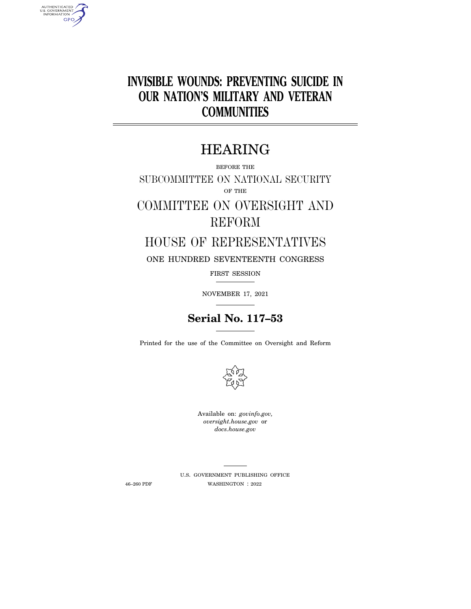# **INVISIBLE WOUNDS: PREVENTING SUICIDE IN OUR NATION'S MILITARY AND VETERAN COMMUNITIES**

# HEARING

BEFORE THE

SUBCOMMITTEE ON NATIONAL SECURITY OF THE

# COMMITTEE ON OVERSIGHT AND REFORM

## HOUSE OF REPRESENTATIVES

ONE HUNDRED SEVENTEENTH CONGRESS

FIRST SESSION

NOVEMBER 17, 2021

## **Serial No. 117–53**

Printed for the use of the Committee on Oversight and Reform



Available on: *govinfo.gov, oversight.house.gov* or *docs.house.gov* 

AUTHENTICATED<br>U.S. GOVERNMENT<br>INFORMATION **GPO** 

> U.S. GOVERNMENT PUBLISHING OFFICE 46–260 PDF WASHINGTON : 2022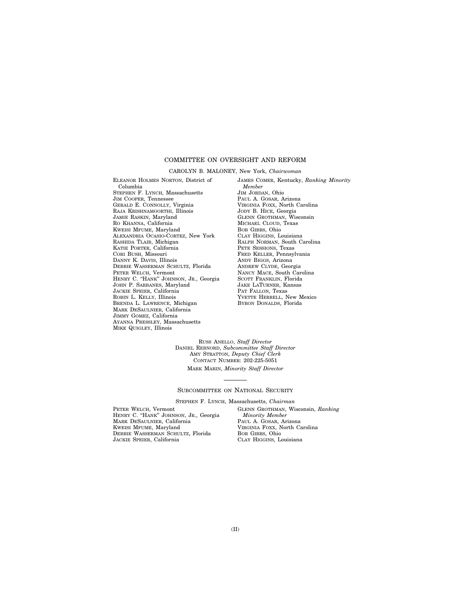### COMMITTEE ON OVERSIGHT AND REFORM

#### CAROLYN B. MALONEY, New York, *Chairwoman*

ELEANOR HOLMES NORTON, District of Columbia STEPHEN F. LYNCH, Massachusetts JIM COOPER, Tennessee GERALD E. CONNOLLY, Virginia RAJA KRISHNAMOORTHI, Illinois JAMIE RASKIN, Maryland RO KHANNA, California KWEISI MFUME, Maryland ALEXANDRIA OCASIO-CORTEZ, New York RASHIDA TLAIB, Michigan KATIE PORTER, California CORI BUSH, Missouri DANNY K. DAVIS, Illinois DEBBIE WASSERMAN SCHULTZ, Florida PETER WELCH, Vermont HENRY C. "HANK" JOHNSON, JR., Georgia JOHN P. SARBANES, Maryland JACKIE SPEIER, California ROBIN L. KELLY, Illinois BRENDA L. LAWRENCE, Michigan MARK DESAULNIER, California JIMMY GOMEZ, California AYANNA PRESSLEY, Massachusetts MIKE QUIGLEY, Illinois

JAMES COMER, Kentucky, *Ranking Minority Member*  JIM JORDAN, Ohio PAUL A. GOSAR, Arizona VIRGINIA FOXX, North Carolina JODY B. HICE, Georgia GLENN GROTHMAN, Wisconsin MICHAEL CLOUD, Texas BOB GIBBS, Ohio CLAY HIGGINS, Louisiana RALPH NORMAN, South Carolina PETE SESSIONS, Texas FRED KELLER, Pennsylvania ANDY BIGGS, Arizona ANDREW CLYDE, Georgia NANCY MACE, South Carolina SCOTT FRANKLIN, Florida JAKE LATURNER, Kansas PAT FALLON, Texas YVETTE HERRELL, New Mexico BYRON DONALDS, Florida

RUSS ANELLO, *Staff Director*  DANIEL REBNORD, *Subcommittee Staff Director*  AMY STRATTON, *Deputy Chief Clerk*  CONTACT NUMBER: 202-225-5051

MARK MARIN, *Minority Staff Director* 

#### SUBCOMMITTEE ON NATIONAL SECURITY

STEPHEN F. LYNCH, Massachusetts, *Chairman* 

PETER WELCH, Vermont HENRY C. ''HANK'' JOHNSON, JR., Georgia MARK DESAULNIER, California KWEISI MFUME, Maryland DEBBIE WASSERMAN SCHULTZ, Florida JACKIE SPEIER, California

GLENN GROTHMAN, Wisconsin, *Ranking Minority Member*  PAUL A. GOSAR, Arizona VIRGINIA FOXX, North Carolina BOB GIBBS, Ohio CLAY HIGGINS, Louisiana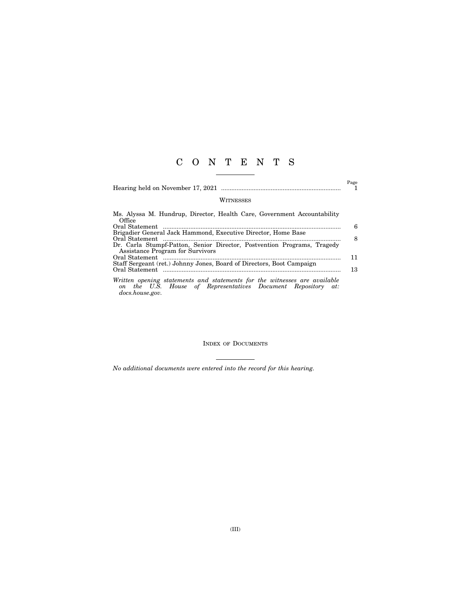## C O N T E N T S

|  | t age |
|--|-------|
|  |       |

### WITNESSES

 $\overset{\text{Page}}{1}$ 

| Ms. Alyssa M. Hundrup, Director, Health Care, Government Accountability                                                                              |    |
|------------------------------------------------------------------------------------------------------------------------------------------------------|----|
| Office                                                                                                                                               |    |
|                                                                                                                                                      | 6  |
| Brigadier General Jack Hammond, Executive Director, Home Base                                                                                        |    |
|                                                                                                                                                      | 8  |
| Dr. Carla Stumpf-Patton, Senior Director, Postvention Programs, Tragedy                                                                              |    |
| Assistance Program for Survivors                                                                                                                     |    |
|                                                                                                                                                      | 11 |
| Staff Sergeant (ret.) Johnny Jones, Board of Directors, Boot Campaign                                                                                |    |
|                                                                                                                                                      | 13 |
| Written opening statements and statements for the witnesses are available<br>on the $\overline{H}S$ House of Permeentatings Degument Persections at: |    |

*on the U.S. House of Representatives Document Repository at: docs.house.gov.* 

INDEX OF DOCUMENTS

*No additional documents were entered into the record for this hearing.*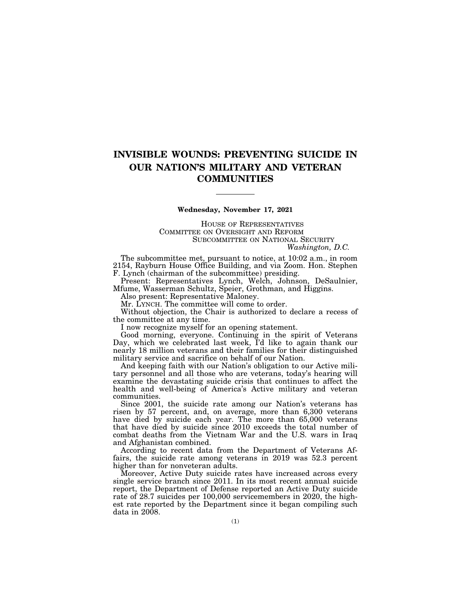## **INVISIBLE WOUNDS: PREVENTING SUICIDE IN OUR NATION'S MILITARY AND VETERAN COMMUNITIES**

#### **Wednesday, November 17, 2021**

HOUSE OF REPRESENTATIVES COMMITTEE ON OVERSIGHT AND REFORM SUBCOMMITTEE ON NATIONAL SECURITY *Washington, D.C.* 

The subcommittee met, pursuant to notice, at 10:02 a.m., in room 2154, Rayburn House Office Building, and via Zoom. Hon. Stephen F. Lynch (chairman of the subcommittee) presiding.

Present: Representatives Lynch, Welch, Johnson, DeSaulnier, Mfume, Wasserman Schultz, Speier, Grothman, and Higgins.

Also present: Representative Maloney.

Mr. LYNCH. The committee will come to order.

Without objection, the Chair is authorized to declare a recess of the committee at any time.

I now recognize myself for an opening statement.

Good morning, everyone. Continuing in the spirit of Veterans Day, which we celebrated last week, I'd like to again thank our nearly 18 million veterans and their families for their distinguished military service and sacrifice on behalf of our Nation.

And keeping faith with our Nation's obligation to our Active military personnel and all those who are veterans, today's hearing will examine the devastating suicide crisis that continues to affect the health and well-being of America's Active military and veteran communities.

Since 2001, the suicide rate among our Nation's veterans has risen by 57 percent, and, on average, more than 6,300 veterans have died by suicide each year. The more than 65,000 veterans that have died by suicide since 2010 exceeds the total number of combat deaths from the Vietnam War and the U.S. wars in Iraq and Afghanistan combined.

According to recent data from the Department of Veterans Affairs, the suicide rate among veterans in 2019 was 52.3 percent higher than for nonveteran adults.

Moreover, Active Duty suicide rates have increased across every single service branch since 2011. In its most recent annual suicide report, the Department of Defense reported an Active Duty suicide rate of 28.7 suicides per 100,000 servicemembers in 2020, the highest rate reported by the Department since it began compiling such  $data$  in  $2008$ .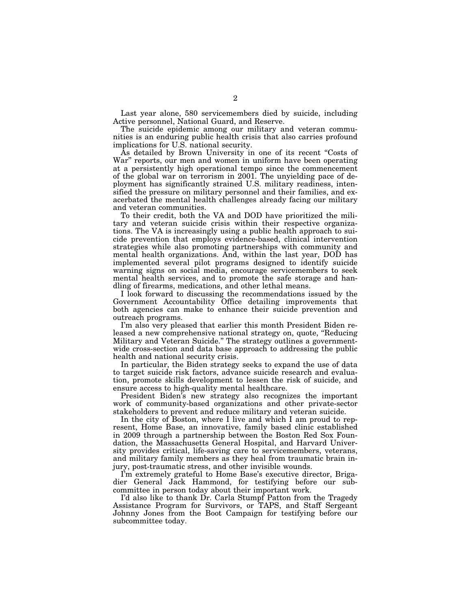Last year alone, 580 servicemembers died by suicide, including Active personnel, National Guard, and Reserve.

The suicide epidemic among our military and veteran communities is an enduring public health crisis that also carries profound implications for U.S. national security.

As detailed by Brown University in one of its recent ''Costs of War'' reports, our men and women in uniform have been operating at a persistently high operational tempo since the commencement of the global war on terrorism in 2001. The unyielding pace of deployment has significantly strained U.S. military readiness, intensified the pressure on military personnel and their families, and exacerbated the mental health challenges already facing our military and veteran communities.

To their credit, both the VA and DOD have prioritized the military and veteran suicide crisis within their respective organizations. The VA is increasingly using a public health approach to suicide prevention that employs evidence-based, clinical intervention strategies while also promoting partnerships with community and mental health organizations. And, within the last year, DOD has implemented several pilot programs designed to identify suicide warning signs on social media, encourage servicemembers to seek mental health services, and to promote the safe storage and handling of firearms, medications, and other lethal means.

I look forward to discussing the recommendations issued by the Government Accountability Office detailing improvements that both agencies can make to enhance their suicide prevention and outreach programs.

I'm also very pleased that earlier this month President Biden released a new comprehensive national strategy on, quote, ''Reducing Military and Veteran Suicide.'' The strategy outlines a governmentwide cross-section and data base approach to addressing the public health and national security crisis.

In particular, the Biden strategy seeks to expand the use of data to target suicide risk factors, advance suicide research and evaluation, promote skills development to lessen the risk of suicide, and ensure access to high-quality mental healthcare.

President Biden's new strategy also recognizes the important work of community-based organizations and other private-sector stakeholders to prevent and reduce military and veteran suicide.

In the city of Boston, where I live and which I am proud to represent, Home Base, an innovative, family based clinic established in 2009 through a partnership between the Boston Red Sox Foundation, the Massachusetts General Hospital, and Harvard University provides critical, life-saving care to servicemembers, veterans, and military family members as they heal from traumatic brain injury, post-traumatic stress, and other invisible wounds.

I'm extremely grateful to Home Base's executive director, Brigadier General Jack Hammond, for testifying before our subcommittee in person today about their important work.

I'd also like to thank Dr. Carla Stumpf Patton from the Tragedy Assistance Program for Survivors, or TAPS, and Staff Sergeant Johnny Jones from the Boot Campaign for testifying before our subcommittee today.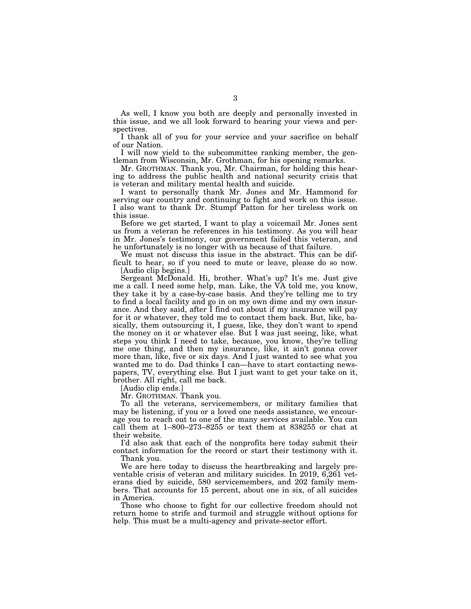As well, I know you both are deeply and personally invested in this issue, and we all look forward to hearing your views and perspectives.

I thank all of you for your service and your sacrifice on behalf of our Nation.

I will now yield to the subcommittee ranking member, the gentleman from Wisconsin, Mr. Grothman, for his opening remarks.

Mr. GROTHMAN. Thank you, Mr. Chairman, for holding this hearing to address the public health and national security crisis that is veteran and military mental health and suicide.

I want to personally thank Mr. Jones and Mr. Hammond for serving our country and continuing to fight and work on this issue. I also want to thank Dr. Stumpf Patton for her tireless work on this issue.

Before we get started, I want to play a voicemail Mr. Jones sent us from a veteran he references in his testimony. As you will hear in Mr. Jones's testimony, our government failed this veteran, and he unfortunately is no longer with us because of that failure.

We must not discuss this issue in the abstract. This can be difficult to hear, so if you need to mute or leave, please do so now. [Audio clip begins.]

Sergeant McDonald. Hi, brother. What's up? It's me. Just give me a call. I need some help, man. Like, the VA told me, you know, they take it by a case-by-case basis. And they're telling me to try to find a local facility and go in on my own dime and my own insurance. And they said, after I find out about if my insurance will pay for it or whatever, they told me to contact them back. But, like, basically, them outsourcing it, I guess, like, they don't want to spend the money on it or whatever else. But I was just seeing, like, what steps you think I need to take, because, you know, they're telling me one thing, and then my insurance, like, it ain't gonna cover more than, like, five or six days. And I just wanted to see what you wanted me to do. Dad thinks I can—have to start contacting newspapers, TV, everything else. But I just want to get your take on it, brother. All right, call me back.

[Audio clip ends.]

Mr. GROTHMAN. Thank you.

To all the veterans, servicemembers, or military families that may be listening, if you or a loved one needs assistance, we encourage you to reach out to one of the many services available. You can call them at 1–800–273–8255 or text them at 838255 or chat at their website.

I'd also ask that each of the nonprofits here today submit their contact information for the record or start their testimony with it. Thank you.

We are here today to discuss the heartbreaking and largely preventable crisis of veteran and military suicides. In 2019, 6,261 veterans died by suicide, 580 servicemembers, and 202 family members. That accounts for 15 percent, about one in six, of all suicides in America.

Those who choose to fight for our collective freedom should not return home to strife and turmoil and struggle without options for help. This must be a multi-agency and private-sector effort.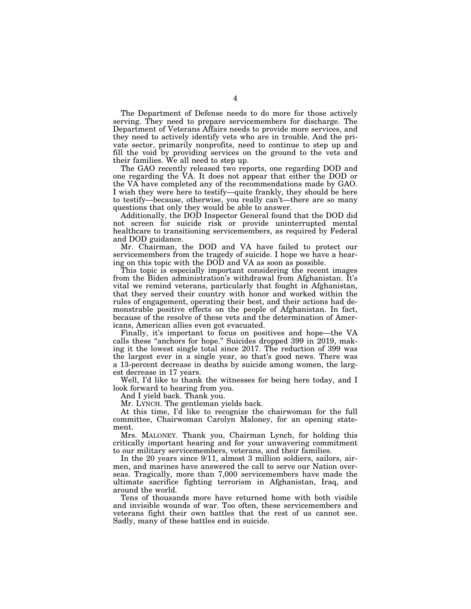The Department of Defense needs to do more for those actively serving. They need to prepare servicemembers for discharge. The Department of Veterans Affairs needs to provide more services, and they need to actively identify vets who are in trouble. And the private sector, primarily nonprofits, need to continue to step up and fill the void by providing services on the ground to the vets and their families. We all need to step up.

The GAO recently released two reports, one regarding DOD and one regarding the VA. It does not appear that either the DOD or the VA have completed any of the recommendations made by GAO. I wish they were here to testify—quite frankly, they should be here to testify—because, otherwise, you really can't—there are so many questions that only they would be able to answer.

Additionally, the DOD Inspector General found that the DOD did not screen for suicide risk or provide uninterrupted mental healthcare to transitioning servicemembers, as required by Federal and DOD guidance.

Mr. Chairman, the DOD and VA have failed to protect our servicemembers from the tragedy of suicide. I hope we have a hearing on this topic with the DOD and VA as soon as possible.

This topic is especially important considering the recent images from the Biden administration's withdrawal from Afghanistan. It's vital we remind veterans, particularly that fought in Afghanistan, that they served their country with honor and worked within the rules of engagement, operating their best, and their actions had demonstrable positive effects on the people of Afghanistan. In fact, because of the resolve of these vets and the determination of Americans, American allies even got evacuated.

Finally, it's important to focus on positives and hope—the VA calls these ''anchors for hope.'' Suicides dropped 399 in 2019, making it the lowest single total since 2017. The reduction of 399 was the largest ever in a single year, so that's good news. There was a 13-percent decrease in deaths by suicide among women, the largest decrease in 17 years.

Well, I'd like to thank the witnesses for being here today, and I look forward to hearing from you.

And I yield back. Thank you.

Mr. LYNCH. The gentleman yields back.

At this time, I'd like to recognize the chairwoman for the full committee, Chairwoman Carolyn Maloney, for an opening statement.

Mrs. MALONEY. Thank you, Chairman Lynch, for holding this critically important hearing and for your unwavering commitment to our military servicemembers, veterans, and their families.

In the 20 years since 9/11, almost 3 million soldiers, sailors, airmen, and marines have answered the call to serve our Nation overseas. Tragically, more than 7,000 servicemembers have made the ultimate sacrifice fighting terrorism in Afghanistan, Iraq, and around the world.

Tens of thousands more have returned home with both visible and invisible wounds of war. Too often, these servicemembers and veterans fight their own battles that the rest of us cannot see. Sadly, many of these battles end in suicide.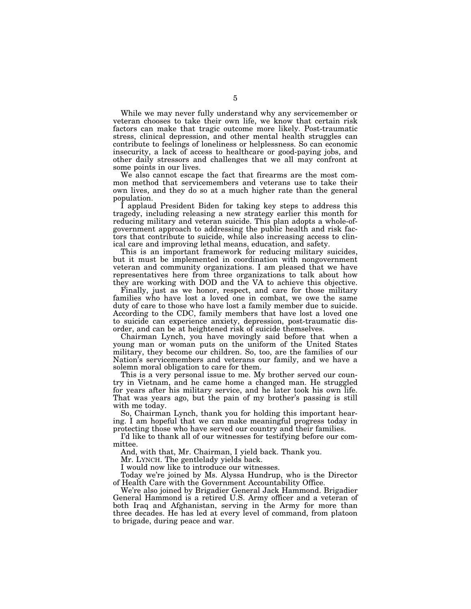While we may never fully understand why any servicemember or veteran chooses to take their own life, we know that certain risk factors can make that tragic outcome more likely. Post-traumatic stress, clinical depression, and other mental health struggles can contribute to feelings of loneliness or helplessness. So can economic insecurity, a lack of access to healthcare or good-paying jobs, and other daily stressors and challenges that we all may confront at some points in our lives.

We also cannot escape the fact that firearms are the most common method that servicemembers and veterans use to take their own lives, and they do so at a much higher rate than the general population.

I applaud President Biden for taking key steps to address this tragedy, including releasing a new strategy earlier this month for reducing military and veteran suicide. This plan adopts a whole-ofgovernment approach to addressing the public health and risk factors that contribute to suicide, while also increasing access to clinical care and improving lethal means, education, and safety.

This is an important framework for reducing military suicides, but it must be implemented in coordination with nongovernment veteran and community organizations. I am pleased that we have representatives here from three organizations to talk about how they are working with DOD and the VA to achieve this objective.

Finally, just as we honor, respect, and care for those military families who have lost a loved one in combat, we owe the same duty of care to those who have lost a family member due to suicide. According to the CDC, family members that have lost a loved one to suicide can experience anxiety, depression, post-traumatic disorder, and can be at heightened risk of suicide themselves.

Chairman Lynch, you have movingly said before that when a young man or woman puts on the uniform of the United States military, they become our children. So, too, are the families of our Nation's servicemembers and veterans our family, and we have a solemn moral obligation to care for them.

This is a very personal issue to me. My brother served our country in Vietnam, and he came home a changed man. He struggled for years after his military service, and he later took his own life. That was years ago, but the pain of my brother's passing is still with me today.

So, Chairman Lynch, thank you for holding this important hearing. I am hopeful that we can make meaningful progress today in protecting those who have served our country and their families.

I'd like to thank all of our witnesses for testifying before our committee.

And, with that, Mr. Chairman, I yield back. Thank you.

Mr. LYNCH. The gentlelady yields back.

I would now like to introduce our witnesses.

Today we're joined by Ms. Alyssa Hundrup, who is the Director of Health Care with the Government Accountability Office.

We're also joined by Brigadier General Jack Hammond. Brigadier General Hammond is a retired U.S. Army officer and a veteran of both Iraq and Afghanistan, serving in the Army for more than three decades. He has led at every level of command, from platoon to brigade, during peace and war.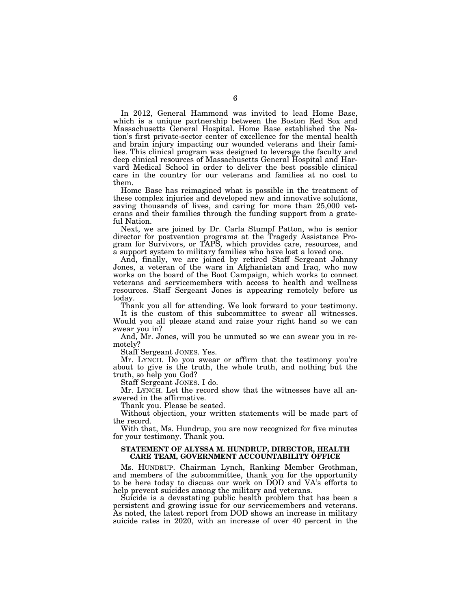In 2012, General Hammond was invited to lead Home Base, which is a unique partnership between the Boston Red Sox and Massachusetts General Hospital. Home Base established the Nation's first private-sector center of excellence for the mental health and brain injury impacting our wounded veterans and their families. This clinical program was designed to leverage the faculty and deep clinical resources of Massachusetts General Hospital and Harvard Medical School in order to deliver the best possible clinical care in the country for our veterans and families at no cost to them.

Home Base has reimagined what is possible in the treatment of these complex injuries and developed new and innovative solutions, saving thousands of lives, and caring for more than 25,000 veterans and their families through the funding support from a grateful Nation.

Next, we are joined by Dr. Carla Stumpf Patton, who is senior director for postvention programs at the Tragedy Assistance Program for Survivors, or TAPS, which provides care, resources, and a support system to military families who have lost a loved one.

And, finally, we are joined by retired Staff Sergeant Johnny Jones, a veteran of the wars in Afghanistan and Iraq, who now works on the board of the Boot Campaign, which works to connect veterans and servicemembers with access to health and wellness resources. Staff Sergeant Jones is appearing remotely before us today.

Thank you all for attending. We look forward to your testimony.

It is the custom of this subcommittee to swear all witnesses. Would you all please stand and raise your right hand so we can swear you in?

And, Mr. Jones, will you be unmuted so we can swear you in remotely?

Staff Sergeant JONES. Yes.

Mr. LYNCH. Do you swear or affirm that the testimony you're about to give is the truth, the whole truth, and nothing but the truth, so help you God?

Staff Sergeant JONES. I do.

Mr. LYNCH. Let the record show that the witnesses have all answered in the affirmative.

Thank you. Please be seated.

Without objection, your written statements will be made part of the record.

With that, Ms. Hundrup, you are now recognized for five minutes for your testimony. Thank you.

### **STATEMENT OF ALYSSA M. HUNDRUP, DIRECTOR, HEALTH CARE TEAM, GOVERNMENT ACCOUNTABILITY OFFICE**

Ms. HUNDRUP. Chairman Lynch, Ranking Member Grothman, and members of the subcommittee, thank you for the opportunity to be here today to discuss our work on DOD and VA's efforts to help prevent suicides among the military and veterans.

Suicide is a devastating public health problem that has been a persistent and growing issue for our servicemembers and veterans. As noted, the latest report from DOD shows an increase in military suicide rates in 2020, with an increase of over 40 percent in the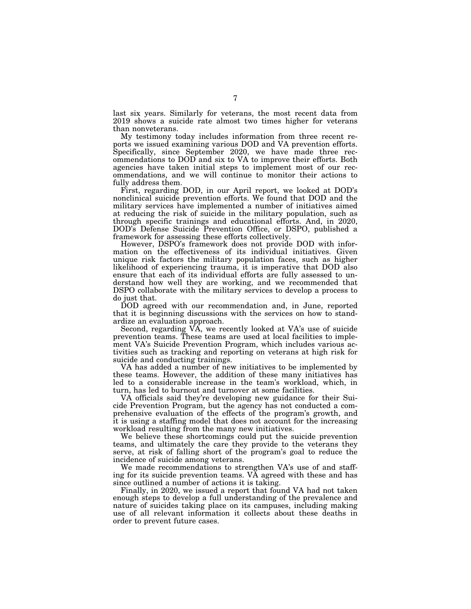last six years. Similarly for veterans, the most recent data from 2019 shows a suicide rate almost two times higher for veterans than nonveterans.

My testimony today includes information from three recent reports we issued examining various DOD and VA prevention efforts. Specifically, since September 2020, we have made three recommendations to DOD and six to VA to improve their efforts. Both agencies have taken initial steps to implement most of our recommendations, and we will continue to monitor their actions to fully address them.

First, regarding DOD, in our April report, we looked at DOD's nonclinical suicide prevention efforts. We found that DOD and the military services have implemented a number of initiatives aimed at reducing the risk of suicide in the military population, such as through specific trainings and educational efforts. And, in 2020, DOD's Defense Suicide Prevention Office, or DSPO, published a framework for assessing these efforts collectively.

However, DSPO's framework does not provide DOD with information on the effectiveness of its individual initiatives. Given unique risk factors the military population faces, such as higher likelihood of experiencing trauma, it is imperative that DOD also ensure that each of its individual efforts are fully assessed to understand how well they are working, and we recommended that DSPO collaborate with the military services to develop a process to do just that.

DOD agreed with our recommendation and, in June, reported that it is beginning discussions with the services on how to standardize an evaluation approach.

Second, regarding VA, we recently looked at VA's use of suicide prevention teams. These teams are used at local facilities to implement VA's Suicide Prevention Program, which includes various activities such as tracking and reporting on veterans at high risk for suicide and conducting trainings.

VA has added a number of new initiatives to be implemented by these teams. However, the addition of these many initiatives has led to a considerable increase in the team's workload, which, in turn, has led to burnout and turnover at some facilities.

VA officials said they're developing new guidance for their Suicide Prevention Program, but the agency has not conducted a comprehensive evaluation of the effects of the program's growth, and it is using a staffing model that does not account for the increasing workload resulting from the many new initiatives.

We believe these shortcomings could put the suicide prevention teams, and ultimately the care they provide to the veterans they serve, at risk of falling short of the program's goal to reduce the incidence of suicide among veterans.

We made recommendations to strengthen VA's use of and staffing for its suicide prevention teams. VA agreed with these and has since outlined a number of actions it is taking.

Finally, in 2020, we issued a report that found VA had not taken enough steps to develop a full understanding of the prevalence and nature of suicides taking place on its campuses, including making use of all relevant information it collects about these deaths in order to prevent future cases.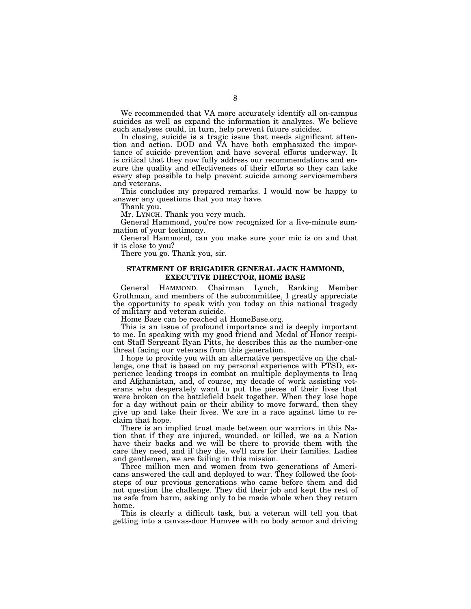We recommended that VA more accurately identify all on-campus suicides as well as expand the information it analyzes. We believe such analyses could, in turn, help prevent future suicides.

In closing, suicide is a tragic issue that needs significant attention and action. DOD and VA have both emphasized the importance of suicide prevention and have several efforts underway. It is critical that they now fully address our recommendations and ensure the quality and effectiveness of their efforts so they can take every step possible to help prevent suicide among servicemembers and veterans.

This concludes my prepared remarks. I would now be happy to answer any questions that you may have.

Thank you.

Mr. LYNCH. Thank you very much.

General Hammond, you're now recognized for a five-minute summation of your testimony.

General Hammond, can you make sure your mic is on and that it is close to you?

There you go. Thank you, sir.

### **STATEMENT OF BRIGADIER GENERAL JACK HAMMOND, EXECUTIVE DIRECTOR, HOME BASE**

General HAMMOND. Chairman Lynch, Ranking Member Grothman, and members of the subcommittee, I greatly appreciate the opportunity to speak with you today on this national tragedy of military and veteran suicide.

Home Base can be reached at HomeBase.org.

This is an issue of profound importance and is deeply important to me. In speaking with my good friend and Medal of Honor recipient Staff Sergeant Ryan Pitts, he describes this as the number-one threat facing our veterans from this generation.

I hope to provide you with an alternative perspective on the challenge, one that is based on my personal experience with PTSD, experience leading troops in combat on multiple deployments to Iraq and Afghanistan, and, of course, my decade of work assisting veterans who desperately want to put the pieces of their lives that were broken on the battlefield back together. When they lose hope for a day without pain or their ability to move forward, then they give up and take their lives. We are in a race against time to reclaim that hope.

There is an implied trust made between our warriors in this Nation that if they are injured, wounded, or killed, we as a Nation have their backs and we will be there to provide them with the care they need, and if they die, we'll care for their families. Ladies and gentlemen, we are failing in this mission.

Three million men and women from two generations of Americans answered the call and deployed to war. They followed the footsteps of our previous generations who came before them and did not question the challenge. They did their job and kept the rest of us safe from harm, asking only to be made whole when they return home.

This is clearly a difficult task, but a veteran will tell you that getting into a canvas-door Humvee with no body armor and driving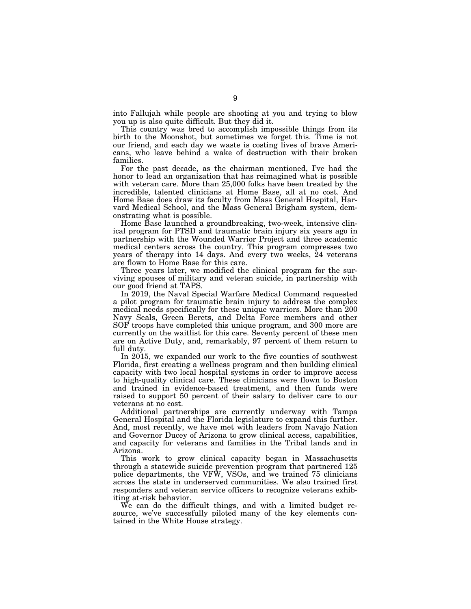into Fallujah while people are shooting at you and trying to blow you up is also quite difficult. But they did it.

This country was bred to accomplish impossible things from its birth to the Moonshot, but sometimes we forget this. Time is not our friend, and each day we waste is costing lives of brave Americans, who leave behind a wake of destruction with their broken families.

For the past decade, as the chairman mentioned, I've had the honor to lead an organization that has reimagined what is possible with veteran care. More than 25,000 folks have been treated by the incredible, talented clinicians at Home Base, all at no cost. And Home Base does draw its faculty from Mass General Hospital, Harvard Medical School, and the Mass General Brigham system, demonstrating what is possible.

Home Base launched a groundbreaking, two-week, intensive clinical program for PTSD and traumatic brain injury six years ago in partnership with the Wounded Warrior Project and three academic medical centers across the country. This program compresses two years of therapy into 14 days. And every two weeks, 24 veterans are flown to Home Base for this care.

Three years later, we modified the clinical program for the surviving spouses of military and veteran suicide, in partnership with our good friend at TAPS.

In 2019, the Naval Special Warfare Medical Command requested a pilot program for traumatic brain injury to address the complex medical needs specifically for these unique warriors. More than 200 Navy Seals, Green Berets, and Delta Force members and other SOF troops have completed this unique program, and 300 more are currently on the waitlist for this care. Seventy percent of these men are on Active Duty, and, remarkably, 97 percent of them return to full duty.

In 2015, we expanded our work to the five counties of southwest Florida, first creating a wellness program and then building clinical capacity with two local hospital systems in order to improve access to high-quality clinical care. These clinicians were flown to Boston and trained in evidence-based treatment, and then funds were raised to support 50 percent of their salary to deliver care to our veterans at no cost.

Additional partnerships are currently underway with Tampa General Hospital and the Florida legislature to expand this further. And, most recently, we have met with leaders from Navajo Nation and Governor Ducey of Arizona to grow clinical access, capabilities, and capacity for veterans and families in the Tribal lands and in Arizona.

This work to grow clinical capacity began in Massachusetts through a statewide suicide prevention program that partnered 125 police departments, the VFW, VSOs, and we trained 75 clinicians across the state in underserved communities. We also trained first responders and veteran service officers to recognize veterans exhibiting at-risk behavior.

We can do the difficult things, and with a limited budget resource, we've successfully piloted many of the key elements contained in the White House strategy.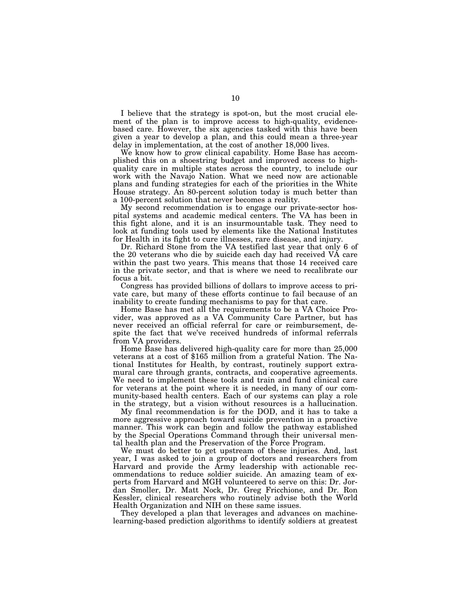I believe that the strategy is spot-on, but the most crucial element of the plan is to improve access to high-quality, evidencebased care. However, the six agencies tasked with this have been given a year to develop a plan, and this could mean a three-year delay in implementation, at the cost of another 18,000 lives.

We know how to grow clinical capability. Home Base has accomplished this on a shoestring budget and improved access to highquality care in multiple states across the country, to include our work with the Navajo Nation. What we need now are actionable plans and funding strategies for each of the priorities in the White House strategy. An 80-percent solution today is much better than a 100-percent solution that never becomes a reality.

My second recommendation is to engage our private-sector hospital systems and academic medical centers. The VA has been in this fight alone, and it is an insurmountable task. They need to look at funding tools used by elements like the National Institutes for Health in its fight to cure illnesses, rare disease, and injury.

Dr. Richard Stone from the VA testified last year that only 6 of the 20 veterans who die by suicide each day had received VA care within the past two years. This means that those 14 received care in the private sector, and that is where we need to recalibrate our focus a bit.

Congress has provided billions of dollars to improve access to private care, but many of these efforts continue to fail because of an inability to create funding mechanisms to pay for that care.

Home Base has met all the requirements to be a VA Choice Provider, was approved as a VA Community Care Partner, but has never received an official referral for care or reimbursement, despite the fact that we've received hundreds of informal referrals from VA providers.

Home Base has delivered high-quality care for more than 25,000 veterans at a cost of \$165 million from a grateful Nation. The National Institutes for Health, by contrast, routinely support extramural care through grants, contracts, and cooperative agreements. We need to implement these tools and train and fund clinical care for veterans at the point where it is needed, in many of our community-based health centers. Each of our systems can play a role in the strategy, but a vision without resources is a hallucination.

My final recommendation is for the DOD, and it has to take a more aggressive approach toward suicide prevention in a proactive manner. This work can begin and follow the pathway established by the Special Operations Command through their universal mental health plan and the Preservation of the Force Program.

We must do better to get upstream of these injuries. And, last year, I was asked to join a group of doctors and researchers from Harvard and provide the Army leadership with actionable recommendations to reduce soldier suicide. An amazing team of experts from Harvard and MGH volunteered to serve on this: Dr. Jordan Smoller, Dr. Matt Nock, Dr. Greg Fricchione, and Dr. Ron Kessler, clinical researchers who routinely advise both the World Health Organization and NIH on these same issues.

They developed a plan that leverages and advances on machinelearning-based prediction algorithms to identify soldiers at greatest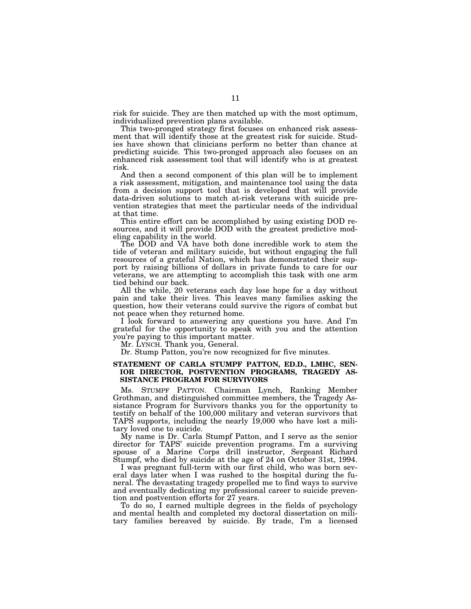risk for suicide. They are then matched up with the most optimum, individualized prevention plans available.

This two-pronged strategy first focuses on enhanced risk assessment that will identify those at the greatest risk for suicide. Studies have shown that clinicians perform no better than chance at predicting suicide. This two-pronged approach also focuses on an enhanced risk assessment tool that will identify who is at greatest risk.

And then a second component of this plan will be to implement a risk assessment, mitigation, and maintenance tool using the data from a decision support tool that is developed that will provide data-driven solutions to match at-risk veterans with suicide prevention strategies that meet the particular needs of the individual at that time.

This entire effort can be accomplished by using existing DOD resources, and it will provide DOD with the greatest predictive modeling capability in the world.

The DOD and VA have both done incredible work to stem the tide of veteran and military suicide, but without engaging the full resources of a grateful Nation, which has demonstrated their support by raising billions of dollars in private funds to care for our veterans, we are attempting to accomplish this task with one arm tied behind our back.

All the while, 20 veterans each day lose hope for a day without pain and take their lives. This leaves many families asking the question, how their veterans could survive the rigors of combat but not peace when they returned home.

I look forward to answering any questions you have. And I'm grateful for the opportunity to speak with you and the attention you're paying to this important matter.

Mr. LYNCH. Thank you, General.

Dr. Stump Patton, you're now recognized for five minutes.

### **STATEMENT OF CARLA STUMPF PATTON, ED.D., LMHC, SEN-IOR DIRECTOR, POSTVENTION PROGRAMS, TRAGEDY AS-SISTANCE PROGRAM FOR SURVIVORS**

Ms. STUMPF PATTON. Chairman Lynch, Ranking Member Grothman, and distinguished committee members, the Tragedy Assistance Program for Survivors thanks you for the opportunity to testify on behalf of the 100,000 military and veteran survivors that TAPS supports, including the nearly 19,000 who have lost a military loved one to suicide.

My name is Dr. Carla Stumpf Patton, and I serve as the senior director for TAPS' suicide prevention programs. I'm a surviving spouse of a Marine Corps drill instructor, Sergeant Richard Stumpf, who died by suicide at the age of 24 on October 31st, 1994.

I was pregnant full-term with our first child, who was born several days later when I was rushed to the hospital during the funeral. The devastating tragedy propelled me to find ways to survive and eventually dedicating my professional career to suicide prevention and postvention efforts for 27 years.

To do so, I earned multiple degrees in the fields of psychology and mental health and completed my doctoral dissertation on military families bereaved by suicide. By trade, I'm a licensed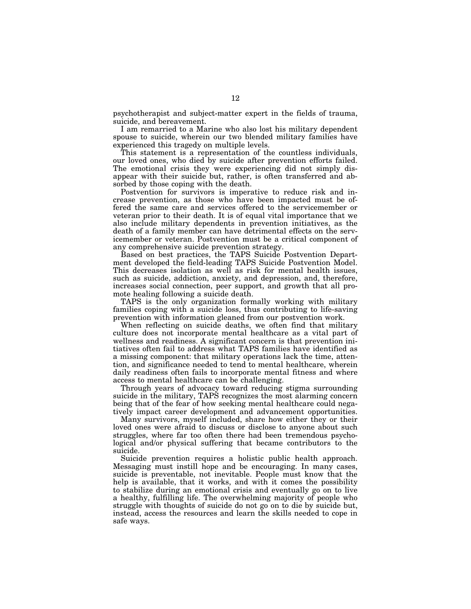psychotherapist and subject-matter expert in the fields of trauma, suicide, and bereavement.

I am remarried to a Marine who also lost his military dependent spouse to suicide, wherein our two blended military families have experienced this tragedy on multiple levels.

This statement is a representation of the countless individuals, our loved ones, who died by suicide after prevention efforts failed. The emotional crisis they were experiencing did not simply disappear with their suicide but, rather, is often transferred and absorbed by those coping with the death.

Postvention for survivors is imperative to reduce risk and increase prevention, as those who have been impacted must be offered the same care and services offered to the servicemember or veteran prior to their death. It is of equal vital importance that we also include military dependents in prevention initiatives, as the death of a family member can have detrimental effects on the servicemember or veteran. Postvention must be a critical component of any comprehensive suicide prevention strategy.

Based on best practices, the TAPS Suicide Postvention Department developed the field-leading TAPS Suicide Postvention Model. This decreases isolation as well as risk for mental health issues, such as suicide, addiction, anxiety, and depression, and, therefore, increases social connection, peer support, and growth that all promote healing following a suicide death.

TAPS is the only organization formally working with military families coping with a suicide loss, thus contributing to life-saving prevention with information gleaned from our postvention work.

When reflecting on suicide deaths, we often find that military culture does not incorporate mental healthcare as a vital part of wellness and readiness. A significant concern is that prevention initiatives often fail to address what TAPS families have identified as a missing component: that military operations lack the time, attention, and significance needed to tend to mental healthcare, wherein daily readiness often fails to incorporate mental fitness and where access to mental healthcare can be challenging.

Through years of advocacy toward reducing stigma surrounding suicide in the military, TAPS recognizes the most alarming concern being that of the fear of how seeking mental healthcare could negatively impact career development and advancement opportunities.

Many survivors, myself included, share how either they or their loved ones were afraid to discuss or disclose to anyone about such struggles, where far too often there had been tremendous psychological and/or physical suffering that became contributors to the suicide.

Suicide prevention requires a holistic public health approach. Messaging must instill hope and be encouraging. In many cases, suicide is preventable, not inevitable. People must know that the help is available, that it works, and with it comes the possibility to stabilize during an emotional crisis and eventually go on to live a healthy, fulfilling life. The overwhelming majority of people who struggle with thoughts of suicide do not go on to die by suicide but, instead, access the resources and learn the skills needed to cope in safe ways.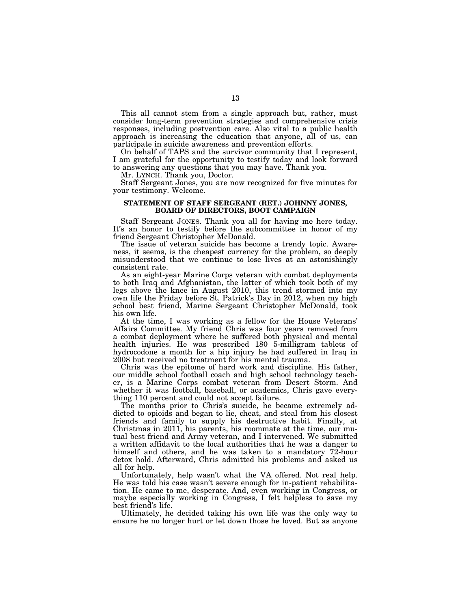This all cannot stem from a single approach but, rather, must consider long-term prevention strategies and comprehensive crisis responses, including postvention care. Also vital to a public health approach is increasing the education that anyone, all of us, can participate in suicide awareness and prevention efforts.

On behalf of TAPS and the survivor community that I represent, I am grateful for the opportunity to testify today and look forward to answering any questions that you may have. Thank you.

Mr. LYNCH. Thank you, Doctor.

Staff Sergeant Jones, you are now recognized for five minutes for your testimony. Welcome.

### **STATEMENT OF STAFF SERGEANT (RET.) JOHNNY JONES, BOARD OF DIRECTORS, BOOT CAMPAIGN**

Staff Sergeant JONES. Thank you all for having me here today. It's an honor to testify before the subcommittee in honor of my friend Sergeant Christopher McDonald.

The issue of veteran suicide has become a trendy topic. Awareness, it seems, is the cheapest currency for the problem, so deeply misunderstood that we continue to lose lives at an astonishingly consistent rate.

As an eight-year Marine Corps veteran with combat deployments to both Iraq and Afghanistan, the latter of which took both of my legs above the knee in August 2010, this trend stormed into my own life the Friday before St. Patrick's Day in 2012, when my high school best friend, Marine Sergeant Christopher McDonald, took his own life.

At the time, I was working as a fellow for the House Veterans' Affairs Committee. My friend Chris was four years removed from a combat deployment where he suffered both physical and mental health injuries. He was prescribed 180 5-milligram tablets of hydrocodone a month for a hip injury he had suffered in Iraq in 2008 but received no treatment for his mental trauma.

Chris was the epitome of hard work and discipline. His father, our middle school football coach and high school technology teacher, is a Marine Corps combat veteran from Desert Storm. And whether it was football, baseball, or academics, Chris gave everything 110 percent and could not accept failure.

The months prior to Chris's suicide, he became extremely addicted to opioids and began to lie, cheat, and steal from his closest friends and family to supply his destructive habit. Finally, at Christmas in 2011, his parents, his roommate at the time, our mutual best friend and Army veteran, and I intervened. We submitted a written affidavit to the local authorities that he was a danger to himself and others, and he was taken to a mandatory 72-hour detox hold. Afterward, Chris admitted his problems and asked us all for help.

Unfortunately, help wasn't what the VA offered. Not real help. He was told his case wasn't severe enough for in-patient rehabilitation. He came to me, desperate. And, even working in Congress, or maybe especially working in Congress, I felt helpless to save my best friend's life.

Ultimately, he decided taking his own life was the only way to ensure he no longer hurt or let down those he loved. But as anyone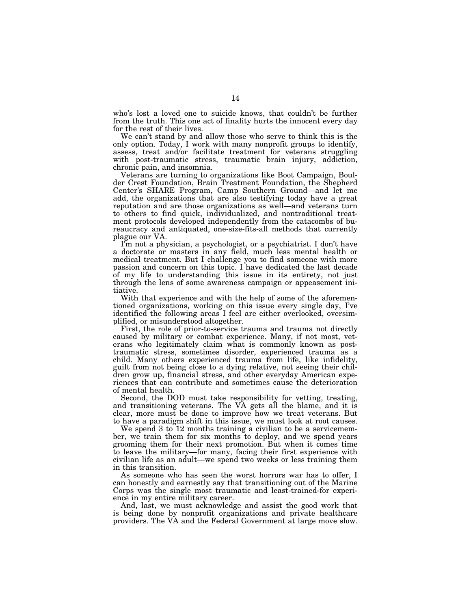who's lost a loved one to suicide knows, that couldn't be further from the truth. This one act of finality hurts the innocent every day for the rest of their lives.

We can't stand by and allow those who serve to think this is the only option. Today, I work with many nonprofit groups to identify, assess, treat and/or facilitate treatment for veterans struggling with post-traumatic stress, traumatic brain injury, addiction, chronic pain, and insomnia.

Veterans are turning to organizations like Boot Campaign, Boulder Crest Foundation, Brain Treatment Foundation, the Shepherd Center's SHARE Program, Camp Southern Ground—and let me add, the organizations that are also testifying today have a great reputation and are those organizations as well—and veterans turn to others to find quick, individualized, and nontraditional treatment protocols developed independently from the catacombs of bureaucracy and antiquated, one-size-fits-all methods that currently plague our VA.

I'm not a physician, a psychologist, or a psychiatrist. I don't have a doctorate or masters in any field, much less mental health or medical treatment. But I challenge you to find someone with more passion and concern on this topic. I have dedicated the last decade of my life to understanding this issue in its entirety, not just through the lens of some awareness campaign or appeasement initiative.

With that experience and with the help of some of the aforementioned organizations, working on this issue every single day, I've identified the following areas I feel are either overlooked, oversimplified, or misunderstood altogether.

First, the role of prior-to-service trauma and trauma not directly caused by military or combat experience. Many, if not most, veterans who legitimately claim what is commonly known as posttraumatic stress, sometimes disorder, experienced trauma as a child. Many others experienced trauma from life, like infidelity, guilt from not being close to a dying relative, not seeing their children grow up, financial stress, and other everyday American experiences that can contribute and sometimes cause the deterioration of mental health.

Second, the DOD must take responsibility for vetting, treating, and transitioning veterans. The VA gets all the blame, and it is clear, more must be done to improve how we treat veterans. But to have a paradigm shift in this issue, we must look at root causes.

We spend 3 to 12 months training a civilian to be a servicemember, we train them for six months to deploy, and we spend years grooming them for their next promotion. But when it comes time to leave the military—for many, facing their first experience with civilian life as an adult—we spend two weeks or less training them in this transition.

As someone who has seen the worst horrors war has to offer, I can honestly and earnestly say that transitioning out of the Marine Corps was the single most traumatic and least-trained-for experience in my entire military career.

And, last, we must acknowledge and assist the good work that is being done by nonprofit organizations and private healthcare providers. The VA and the Federal Government at large move slow.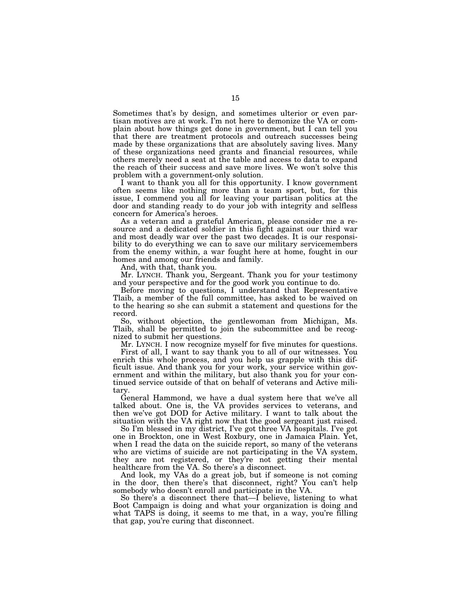Sometimes that's by design, and sometimes ulterior or even partisan motives are at work. I'm not here to demonize the VA or complain about how things get done in government, but I can tell you that there are treatment protocols and outreach successes being made by these organizations that are absolutely saving lives. Many of these organizations need grants and financial resources, while others merely need a seat at the table and access to data to expand the reach of their success and save more lives. We won't solve this problem with a government-only solution.

I want to thank you all for this opportunity. I know government often seems like nothing more than a team sport, but, for this issue, I commend you all for leaving your partisan politics at the door and standing ready to do your job with integrity and selfless concern for America's heroes.

As a veteran and a grateful American, please consider me a resource and a dedicated soldier in this fight against our third war and most deadly war over the past two decades. It is our responsibility to do everything we can to save our military servicemembers from the enemy within, a war fought here at home, fought in our homes and among our friends and family.

And, with that, thank you.

Mr. LYNCH. Thank you, Sergeant. Thank you for your testimony and your perspective and for the good work you continue to do.

Before moving to questions,  $\overline{I}$  understand that Representative Tlaib, a member of the full committee, has asked to be waived on to the hearing so she can submit a statement and questions for the record.

So, without objection, the gentlewoman from Michigan, Ms. Tlaib, shall be permitted to join the subcommittee and be recognized to submit her questions.

Mr. LYNCH. I now recognize myself for five minutes for questions.

First of all, I want to say thank you to all of our witnesses. You enrich this whole process, and you help us grapple with this difficult issue. And thank you for your work, your service within government and within the military, but also thank you for your continued service outside of that on behalf of veterans and Active military.

General Hammond, we have a dual system here that we've all talked about. One is, the VA provides services to veterans, and then we've got DOD for Active military. I want to talk about the situation with the VA right now that the good sergeant just raised.

So I'm blessed in my district, I've got three VA hospitals. I've got one in Brockton, one in West Roxbury, one in Jamaica Plain. Yet, when I read the data on the suicide report, so many of the veterans who are victims of suicide are not participating in the VA system, they are not registered, or they're not getting their mental healthcare from the VA. So there's a disconnect.

And look, my VAs do a great job, but if someone is not coming in the door, then there's that disconnect, right? You can't help somebody who doesn't enroll and participate in the VA.

So there's a disconnect there that—I believe, listening to what Boot Campaign is doing and what your organization is doing and what TAPS is doing, it seems to me that, in a way, you're filling that gap, you're curing that disconnect.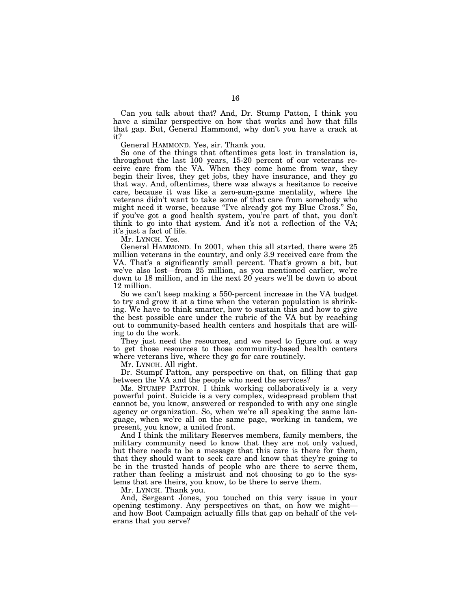Can you talk about that? And, Dr. Stump Patton, I think you have a similar perspective on how that works and how that fills that gap. But, General Hammond, why don't you have a crack at it?

General HAMMOND. Yes, sir. Thank you.

So one of the things that oftentimes gets lost in translation is, throughout the last 100 years, 15-20 percent of our veterans receive care from the VA. When they come home from war, they begin their lives, they get jobs, they have insurance, and they go that way. And, oftentimes, there was always a hesitance to receive care, because it was like a zero-sum-game mentality, where the veterans didn't want to take some of that care from somebody who might need it worse, because "I've already got my Blue Cross." So, if you've got a good health system, you're part of that, you don't think to go into that system. And it's not a reflection of the VA; it's just a fact of life.

Mr. LYNCH. Yes.

General HAMMOND. In 2001, when this all started, there were 25 million veterans in the country, and only 3.9 received care from the VA. That's a significantly small percent. That's grown a bit, but we've also lost—from 25 million, as you mentioned earlier, we're down to 18 million, and in the next 20 years we'll be down to about 12 million.

So we can't keep making a 550-percent increase in the VA budget to try and grow it at a time when the veteran population is shrinking. We have to think smarter, how to sustain this and how to give the best possible care under the rubric of the VA but by reaching out to community-based health centers and hospitals that are willing to do the work.

They just need the resources, and we need to figure out a way to get those resources to those community-based health centers where veterans live, where they go for care routinely.

Mr. LYNCH. All right.

Dr. Stumpf Patton, any perspective on that, on filling that gap between the VA and the people who need the services?

Ms. STUMPF PATTON. I think working collaboratively is a very powerful point. Suicide is a very complex, widespread problem that cannot be, you know, answered or responded to with any one single agency or organization. So, when we're all speaking the same language, when we're all on the same page, working in tandem, we present, you know, a united front.

And I think the military Reserves members, family members, the military community need to know that they are not only valued, but there needs to be a message that this care is there for them, that they should want to seek care and know that they're going to be in the trusted hands of people who are there to serve them, rather than feeling a mistrust and not choosing to go to the systems that are theirs, you know, to be there to serve them.

Mr. LYNCH. Thank you.

And, Sergeant Jones, you touched on this very issue in your opening testimony. Any perspectives on that, on how we might and how Boot Campaign actually fills that gap on behalf of the veterans that you serve?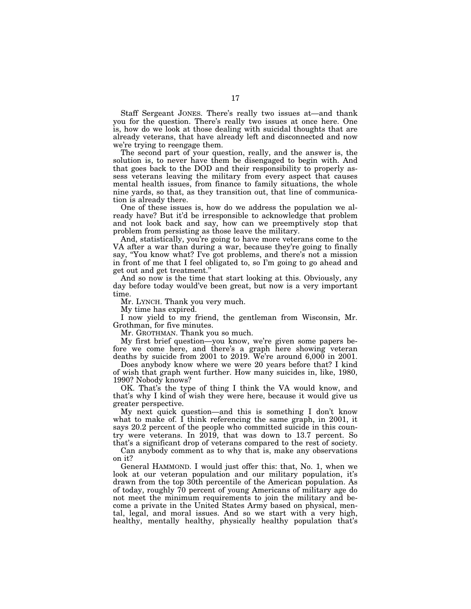Staff Sergeant JONES. There's really two issues at—and thank you for the question. There's really two issues at once here. One is, how do we look at those dealing with suicidal thoughts that are already veterans, that have already left and disconnected and now we're trying to reengage them.

The second part of your question, really, and the answer is, the solution is, to never have them be disengaged to begin with. And that goes back to the DOD and their responsibility to properly assess veterans leaving the military from every aspect that causes mental health issues, from finance to family situations, the whole nine yards, so that, as they transition out, that line of communication is already there.

One of these issues is, how do we address the population we already have? But it'd be irresponsible to acknowledge that problem and not look back and say, how can we preemptively stop that problem from persisting as those leave the military.

And, statistically, you're going to have more veterans come to the VA after a war than during a war, because they're going to finally say, ''You know what? I've got problems, and there's not a mission in front of me that I feel obligated to, so I'm going to go ahead and get out and get treatment.''

And so now is the time that start looking at this. Obviously, any day before today would've been great, but now is a very important time.

Mr. LYNCH. Thank you very much.

My time has expired.

I now yield to my friend, the gentleman from Wisconsin, Mr. Grothman, for five minutes.

Mr. GROTHMAN. Thank you so much.

My first brief question—you know, we're given some papers before we come here, and there's a graph here showing veteran deaths by suicide from 2001 to 2019. We're around 6,000 in 2001.

Does anybody know where we were 20 years before that? I kind of wish that graph went further. How many suicides in, like, 1980, 1990? Nobody knows?

OK. That's the type of thing I think the VA would know, and that's why I kind of wish they were here, because it would give us greater perspective.

My next quick question—and this is something I don't know what to make of. I think referencing the same graph, in 2001, it says 20.2 percent of the people who committed suicide in this country were veterans. In 2019, that was down to 13.7 percent. So that's a significant drop of veterans compared to the rest of society.

Can anybody comment as to why that is, make any observations on it?

General HAMMOND. I would just offer this: that, No. 1, when we look at our veteran population and our military population, it's drawn from the top 30th percentile of the American population. As of today, roughly 70 percent of young Americans of military age do not meet the minimum requirements to join the military and become a private in the United States Army based on physical, mental, legal, and moral issues. And so we start with a very high, healthy, mentally healthy, physically healthy population that's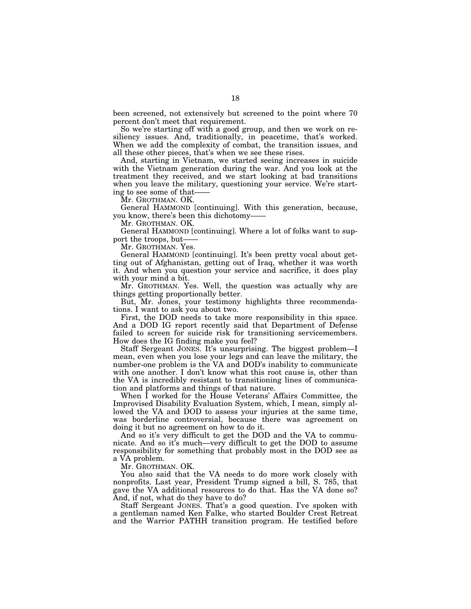been screened, not extensively but screened to the point where 70 percent don't meet that requirement.

So we're starting off with a good group, and then we work on resiliency issues. And, traditionally, in peacetime, that's worked. When we add the complexity of combat, the transition issues, and all these other pieces, that's when we see these rises.

And, starting in Vietnam, we started seeing increases in suicide with the Vietnam generation during the war. And you look at the treatment they received, and we start looking at bad transitions when you leave the military, questioning your service. We're starting to see some of that——

Mr. GROTHMAN. OK.

General HAMMOND [continuing]. With this generation, because, you know, there's been this dichotomy-

Mr. GROTHMAN. OK.

General HAMMOND [continuing]. Where a lot of folks want to support the troops, but-

Mr. GROTHMAN. Yes.

General HAMMOND [continuing]. It's been pretty vocal about getting out of Afghanistan, getting out of Iraq, whether it was worth it. And when you question your service and sacrifice, it does play with your mind a bit.

Mr. GROTHMAN. Yes. Well, the question was actually why are things getting proportionally better.

But, Mr. Jones, your testimony highlights three recommendations. I want to ask you about two.

First, the DOD needs to take more responsibility in this space. And a DOD IG report recently said that Department of Defense failed to screen for suicide risk for transitioning servicemembers. How does the IG finding make you feel?

Staff Sergeant JONES. It's unsurprising. The biggest problem—I mean, even when you lose your legs and can leave the military, the number-one problem is the VA and DOD's inability to communicate with one another. I don't know what this root cause is, other than the VA is incredibly resistant to transitioning lines of communication and platforms and things of that nature.

When I worked for the House Veterans' Affairs Committee, the Improvised Disability Evaluation System, which, I mean, simply allowed the VA and DOD to assess your injuries at the same time, was borderline controversial, because there was agreement on doing it but no agreement on how to do it.

And so it's very difficult to get the DOD and the VA to communicate. And so it's much—very difficult to get the DOD to assume responsibility for something that probably most in the DOD see as a VA problem.

Mr. GROTHMAN. OK.

You also said that the VA needs to do more work closely with nonprofits. Last year, President Trump signed a bill, S. 785, that gave the VA additional resources to do that. Has the VA done so? And, if not, what do they have to do?

Staff Sergeant JONES. That's a good question. I've spoken with a gentleman named Ken Falke, who started Boulder Crest Retreat and the Warrior PATHH transition program. He testified before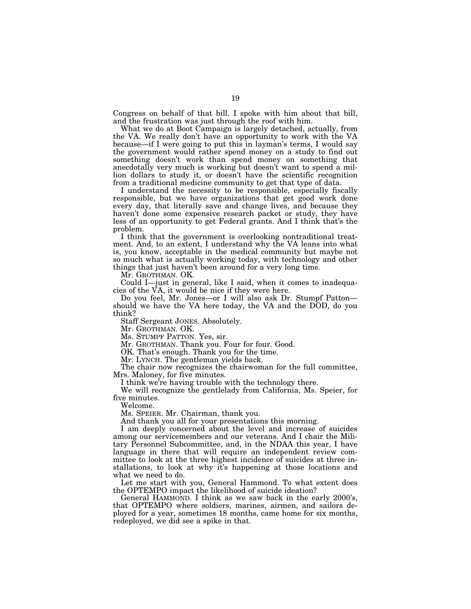Congress on behalf of that bill. I spoke with him about that bill, and the frustration was just through the roof with him.

What we do at Boot Campaign is largely detached, actually, from the VA. We really don't have an opportunity to work with the VA because—if I were going to put this in layman's terms, I would say the government would rather spend money on a study to find out something doesn't work than spend money on something that anecdotally very much is working but doesn't want to spend a million dollars to study it, or doesn't have the scientific recognition from a traditional medicine community to get that type of data.

I understand the necessity to be responsible, especially fiscally responsible, but we have organizations that get good work done every day, that literally save and change lives, and because they haven't done some expensive research packet or study, they have less of an opportunity to get Federal grants. And I think that's the problem.

I think that the government is overlooking nontraditional treatment. And, to an extent, I understand why the VA leans into what is, you know, acceptable in the medical community but maybe not so much what is actually working today, with technology and other things that just haven't been around for a very long time.

Mr. GROTHMAN. OK.

Could I—just in general, like I said, when it comes to inadequacies of the VA, it would be nice if they were here.

Do you feel, Mr. Jones—or I will also ask Dr. Stumpf Patton should we have the VA here today, the VA and the DOD, do you think?

Staff Sergeant JONES. Absolutely.

Mr. GROTHMAN. OK.

Ms. STUMPF PATTON. Yes, sir.

Mr. GROTHMAN. Thank you. Four for four. Good.

OK. That's enough. Thank you for the time.

Mr. LYNCH. The gentleman yields back.

The chair now recognizes the chairwoman for the full committee, Mrs. Maloney, for five minutes.

I think we're having trouble with the technology there.

We will recognize the gentlelady from California, Ms. Speier, for five minutes.

Welcome.

Ms. SPEIER. Mr. Chairman, thank you.

And thank you all for your presentations this morning.

I am deeply concerned about the level and increase of suicides among our servicemembers and our veterans. And I chair the Military Personnel Subcommittee, and, in the NDAA this year, I have language in there that will require an independent review committee to look at the three highest incidence of suicides at three installations, to look at why it's happening at those locations and what we need to do.

Let me start with you, General Hammond. To what extent does the OPTEMPO impact the likelihood of suicide ideation?

General HAMMOND. I think as we saw back in the early 2000's, that OPTEMPO where soldiers, marines, airmen, and sailors deployed for a year, sometimes 18 months, came home for six months, redeployed, we did see a spike in that.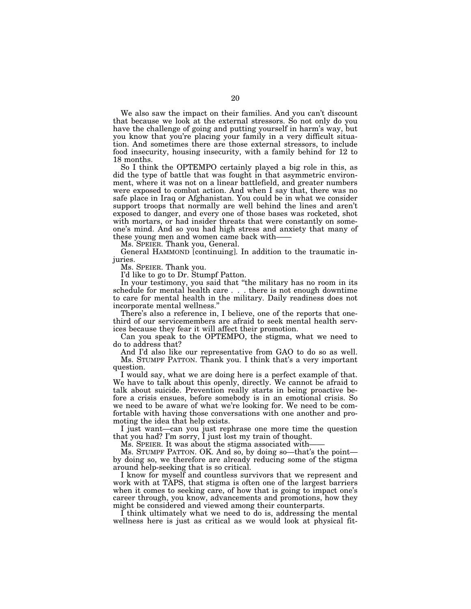We also saw the impact on their families. And you can't discount that because we look at the external stressors. So not only do you have the challenge of going and putting yourself in harm's way, but you know that you're placing your family in a very difficult situation. And sometimes there are those external stressors, to include food insecurity, housing insecurity, with a family behind for 12 to 18 months.

So I think the OPTEMPO certainly played a big role in this, as did the type of battle that was fought in that asymmetric environment, where it was not on a linear battlefield, and greater numbers were exposed to combat action. And when I say that, there was no safe place in Iraq or Afghanistan. You could be in what we consider support troops that normally are well behind the lines and aren't exposed to danger, and every one of those bases was rocketed, shot with mortars, or had insider threats that were constantly on someone's mind. And so you had high stress and anxiety that many of these young men and women came back with——

Ms. SPEIER. Thank you, General.

General HAMMOND [continuing]. In addition to the traumatic injuries.

Ms. SPEIER. Thank you.

I'd like to go to Dr. Stumpf Patton.

In your testimony, you said that ''the military has no room in its schedule for mental health care . . . there is not enough downtime to care for mental health in the military. Daily readiness does not incorporate mental wellness.''

There's also a reference in, I believe, one of the reports that onethird of our servicemembers are afraid to seek mental health services because they fear it will affect their promotion.

Can you speak to the OPTEMPO, the stigma, what we need to do to address that?

And I'd also like our representative from GAO to do so as well. Ms. STUMPF PATTON. Thank you. I think that's a very important question.

I would say, what we are doing here is a perfect example of that. We have to talk about this openly, directly. We cannot be afraid to talk about suicide. Prevention really starts in being proactive before a crisis ensues, before somebody is in an emotional crisis. So we need to be aware of what we're looking for. We need to be comfortable with having those conversations with one another and promoting the idea that help exists.

I just want—can you just rephrase one more time the question that you had? I'm sorry, I just lost my train of thought.

Ms. SPEIER. It was about the stigma associated with-

Ms. STUMPF PATTON. OK. And so, by doing so—that's the point by doing so, we therefore are already reducing some of the stigma around help-seeking that is so critical.

I know for myself and countless survivors that we represent and work with at TAPS, that stigma is often one of the largest barriers when it comes to seeking care, of how that is going to impact one's career through, you know, advancements and promotions, how they might be considered and viewed among their counterparts.

I think ultimately what we need to do is, addressing the mental wellness here is just as critical as we would look at physical fit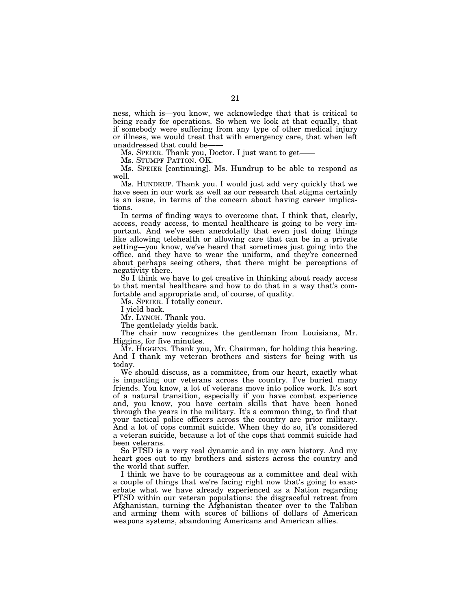ness, which is—you know, we acknowledge that that is critical to being ready for operations. So when we look at that equally, that if somebody were suffering from any type of other medical injury or illness, we would treat that with emergency care, that when left unaddressed that could be——

Ms. SPEIER. Thank you, Doctor. I just want to get—

Ms. STUMPF PATTON. OK.

Ms. SPEIER [continuing]. Ms. Hundrup to be able to respond as well.

Ms. HUNDRUP. Thank you. I would just add very quickly that we have seen in our work as well as our research that stigma certainly is an issue, in terms of the concern about having career implications.

In terms of finding ways to overcome that, I think that, clearly, access, ready access, to mental healthcare is going to be very important. And we've seen anecdotally that even just doing things like allowing telehealth or allowing care that can be in a private setting—you know, we've heard that sometimes just going into the office, and they have to wear the uniform, and they're concerned about perhaps seeing others, that there might be perceptions of negativity there.

So I think we have to get creative in thinking about ready access to that mental healthcare and how to do that in a way that's comfortable and appropriate and, of course, of quality.

Ms. SPEIER. I totally concur.

I yield back.

Mr. LYNCH. Thank you.

The gentlelady yields back.

The chair now recognizes the gentleman from Louisiana, Mr. Higgins, for five minutes.

Mr. HIGGINS. Thank you, Mr. Chairman, for holding this hearing. And I thank my veteran brothers and sisters for being with us today.

We should discuss, as a committee, from our heart, exactly what is impacting our veterans across the country. I've buried many friends. You know, a lot of veterans move into police work. It's sort of a natural transition, especially if you have combat experience and, you know, you have certain skills that have been honed through the years in the military. It's a common thing, to find that your tactical police officers across the country are prior military. And a lot of cops commit suicide. When they do so, it's considered a veteran suicide, because a lot of the cops that commit suicide had been veterans.

So PTSD is a very real dynamic and in my own history. And my heart goes out to my brothers and sisters across the country and the world that suffer.

I think we have to be courageous as a committee and deal with a couple of things that we're facing right now that's going to exacerbate what we have already experienced as a Nation regarding PTSD within our veteran populations: the disgraceful retreat from Afghanistan, turning the Afghanistan theater over to the Taliban and arming them with scores of billions of dollars of American weapons systems, abandoning Americans and American allies.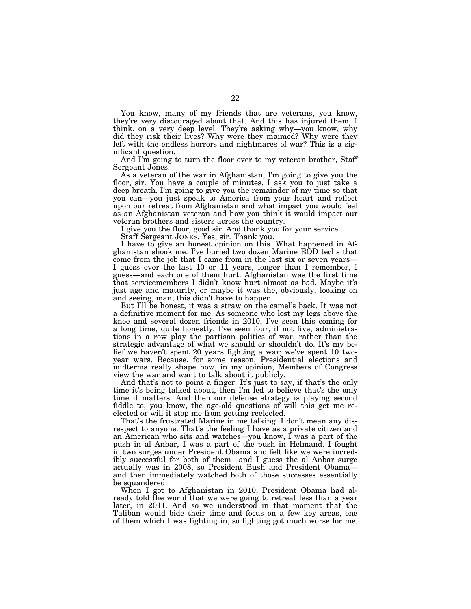You know, many of my friends that are veterans, you know, they're very discouraged about that. And this has injured them, I think, on a very deep level. They're asking why—you know, why did they risk their lives? Why were they maimed? Why were they left with the endless horrors and nightmares of war? This is a significant question.

And I'm going to turn the floor over to my veteran brother, Staff Sergeant Jones.

As a veteran of the war in Afghanistan, I'm going to give you the floor, sir. You have a couple of minutes. I ask you to just take a deep breath. I'm going to give you the remainder of my time so that you can—you just speak to America from your heart and reflect upon our retreat from Afghanistan and what impact you would feel as an Afghanistan veteran and how you think it would impact our veteran brothers and sisters across the country.

I give you the floor, good sir. And thank you for your service.

Staff Sergeant JONES. Yes, sir. Thank you.

I have to give an honest opinion on this. What happened in Afghanistan shook me. I've buried two dozen Marine EOD techs that come from the job that I came from in the last six or seven years— I guess over the last 10 or 11 years, longer than I remember, I guess—and each one of them hurt. Afghanistan was the first time that servicemembers I didn't know hurt almost as bad. Maybe it's just age and maturity, or maybe it was the, obviously, looking on and seeing, man, this didn't have to happen.

But I'll be honest, it was a straw on the camel's back. It was not a definitive moment for me. As someone who lost my legs above the knee and several dozen friends in 2010, I've seen this coming for a long time, quite honestly. I've seen four, if not five, administrations in a row play the partisan politics of war, rather than the strategic advantage of what we should or shouldn't do. It's my belief we haven't spent 20 years fighting a war; we've spent 10 twoyear wars. Because, for some reason, Presidential elections and midterms really shape how, in my opinion, Members of Congress view the war and want to talk about it publicly.

And that's not to point a finger. It's just to say, if that's the only time it's being talked about, then I'm led to believe that's the only time it matters. And then our defense strategy is playing second fiddle to, you know, the age-old questions of will this get me reelected or will it stop me from getting reelected.

That's the frustrated Marine in me talking. I don't mean any disrespect to anyone. That's the feeling I have as a private citizen and an American who sits and watches—you know, I was a part of the push in al Anbar, I was a part of the push in Helmand. I fought in two surges under President Obama and felt like we were incredibly successful for both of them—and I guess the al Anbar surge actually was in 2008, so President Bush and President Obama and then immediately watched both of those successes essentially be squandered.

When I got to Afghanistan in 2010, President Obama had already told the world that we were going to retreat less than a year later, in 2011. And so we understood in that moment that the Taliban would bide their time and focus on a few key areas, one of them which I was fighting in, so fighting got much worse for me.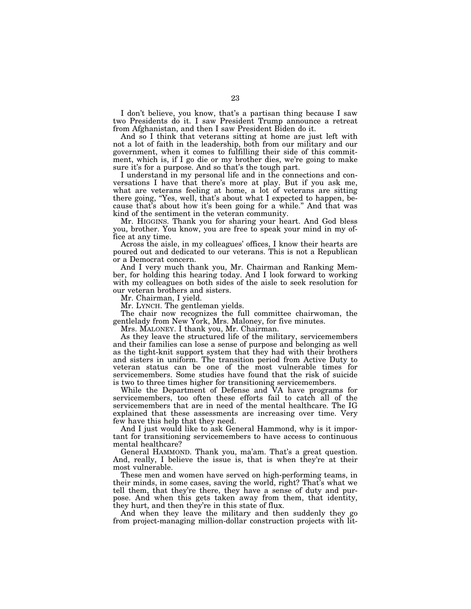I don't believe, you know, that's a partisan thing because I saw two Presidents do it. I saw President Trump announce a retreat from Afghanistan, and then I saw President Biden do it.

And so I think that veterans sitting at home are just left with not a lot of faith in the leadership, both from our military and our government, when it comes to fulfilling their side of this commitment, which is, if I go die or my brother dies, we're going to make sure it's for a purpose. And so that's the tough part.

I understand in my personal life and in the connections and conversations I have that there's more at play. But if you ask me, what are veterans feeling at home, a lot of veterans are sitting there going, ''Yes, well, that's about what I expected to happen, because that's about how it's been going for a while.'' And that was kind of the sentiment in the veteran community.

Mr. HIGGINS. Thank you for sharing your heart. And God bless you, brother. You know, you are free to speak your mind in my office at any time.

Across the aisle, in my colleagues' offices, I know their hearts are poured out and dedicated to our veterans. This is not a Republican or a Democrat concern.

And I very much thank you, Mr. Chairman and Ranking Member, for holding this hearing today. And I look forward to working with my colleagues on both sides of the aisle to seek resolution for our veteran brothers and sisters.

Mr. Chairman, I yield.

Mr. LYNCH. The gentleman yields.

The chair now recognizes the full committee chairwoman, the gentlelady from New York, Mrs. Maloney, for five minutes.

Mrs. MALONEY. I thank you, Mr. Chairman.

As they leave the structured life of the military, servicemembers and their families can lose a sense of purpose and belonging as well as the tight-knit support system that they had with their brothers and sisters in uniform. The transition period from Active Duty to veteran status can be one of the most vulnerable times for servicemembers. Some studies have found that the risk of suicide is two to three times higher for transitioning servicemembers.

While the Department of Defense and VA have programs for servicemembers, too often these efforts fail to catch all of the servicemembers that are in need of the mental healthcare. The IG explained that these assessments are increasing over time. Very few have this help that they need.

And I just would like to ask General Hammond, why is it important for transitioning servicemembers to have access to continuous mental healthcare?

General HAMMOND. Thank you, ma'am. That's a great question. And, really, I believe the issue is, that is when they're at their most vulnerable.

These men and women have served on high-performing teams, in their minds, in some cases, saving the world, right? That's what we tell them, that they're there, they have a sense of duty and purpose. And when this gets taken away from them, that identity, they hurt, and then they're in this state of flux.

And when they leave the military and then suddenly they go from project-managing million-dollar construction projects with lit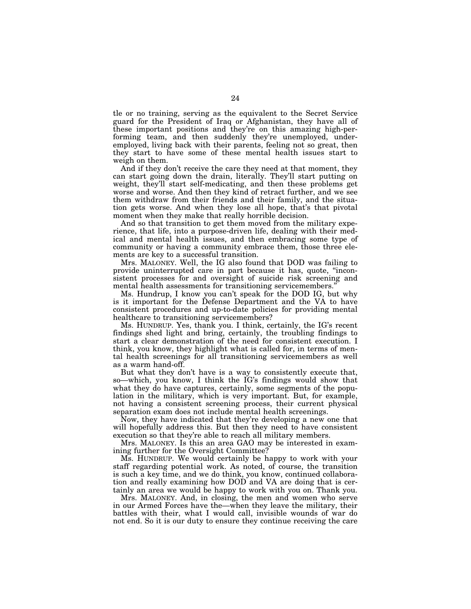tle or no training, serving as the equivalent to the Secret Service guard for the President of Iraq or Afghanistan, they have all of these important positions and they're on this amazing high-performing team, and then suddenly they're unemployed, underemployed, living back with their parents, feeling not so great, then they start to have some of these mental health issues start to weigh on them.

And if they don't receive the care they need at that moment, they can start going down the drain, literally. They'll start putting on weight, they'll start self-medicating, and then these problems get worse and worse. And then they kind of retract further, and we see them withdraw from their friends and their family, and the situation gets worse. And when they lose all hope, that's that pivotal moment when they make that really horrible decision.

And so that transition to get them moved from the military experience, that life, into a purpose-driven life, dealing with their medical and mental health issues, and then embracing some type of community or having a community embrace them, those three elements are key to a successful transition.

Mrs. MALONEY. Well, the IG also found that DOD was failing to provide uninterrupted care in part because it has, quote, ''inconsistent processes for and oversight of suicide risk screening and mental health assessments for transitioning servicemembers.''

Ms. Hundrup, I know you can't speak for the DOD IG, but why is it important for the Defense Department and the VA to have consistent procedures and up-to-date policies for providing mental healthcare to transitioning servicemembers?

Ms. HUNDRUP. Yes, thank you. I think, certainly, the IG's recent findings shed light and bring, certainly, the troubling findings to start a clear demonstration of the need for consistent execution. I think, you know, they highlight what is called for, in terms of mental health screenings for all transitioning servicemembers as well as a warm hand-off.

But what they don't have is a way to consistently execute that, so—which, you know, I think the IG's findings would show that what they do have captures, certainly, some segments of the population in the military, which is very important. But, for example, not having a consistent screening process, their current physical separation exam does not include mental health screenings.

Now, they have indicated that they're developing a new one that will hopefully address this. But then they need to have consistent execution so that they're able to reach all military members.

Mrs. MALONEY. Is this an area GAO may be interested in examining further for the Oversight Committee?

Ms. HUNDRUP. We would certainly be happy to work with your staff regarding potential work. As noted, of course, the transition is such a key time, and we do think, you know, continued collaboration and really examining how DOD and VA are doing that is certainly an area we would be happy to work with you on. Thank you.

Mrs. MALONEY. And, in closing, the men and women who serve in our Armed Forces have the—when they leave the military, their battles with their, what I would call, invisible wounds of war do not end. So it is our duty to ensure they continue receiving the care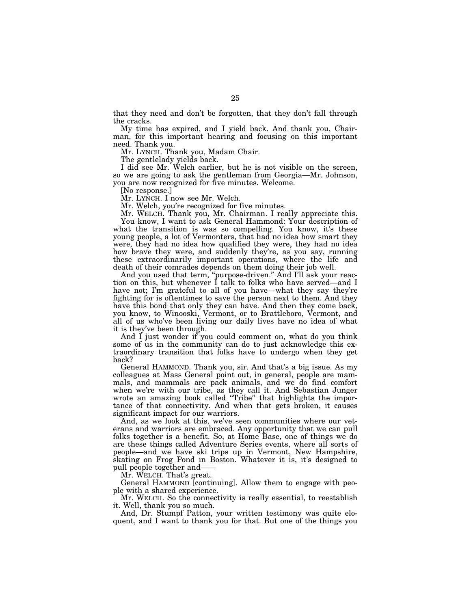that they need and don't be forgotten, that they don't fall through the cracks.

My time has expired, and I yield back. And thank you, Chairman, for this important hearing and focusing on this important need. Thank you.

Mr. LYNCH. Thank you, Madam Chair.

The gentlelady yields back.

I did see Mr. Welch earlier, but he is not visible on the screen, so we are going to ask the gentleman from Georgia—Mr. Johnson, you are now recognized for five minutes. Welcome.

[No response.]

Mr. LYNCH. I now see Mr. Welch.

Mr. Welch, you're recognized for five minutes.

Mr. WELCH. Thank you, Mr. Chairman. I really appreciate this. You know, I want to ask General Hammond: Your description of what the transition is was so compelling. You know, it's these young people, a lot of Vermonters, that had no idea how smart they were, they had no idea how qualified they were, they had no idea how brave they were, and suddenly they're, as you say, running these extraordinarily important operations, where the life and death of their comrades depends on them doing their job well.

And you used that term, ''purpose-driven.'' And I'll ask your reaction on this, but whenever I talk to folks who have served—and I have not; I'm grateful to all of you have—what they say they're fighting for is oftentimes to save the person next to them. And they have this bond that only they can have. And then they come back, you know, to Winooski, Vermont, or to Brattleboro, Vermont, and all of us who've been living our daily lives have no idea of what it is they've been through.

And I just wonder if you could comment on, what do you think some of us in the community can do to just acknowledge this extraordinary transition that folks have to undergo when they get back?

General HAMMOND. Thank you, sir. And that's a big issue. As my colleagues at Mass General point out, in general, people are mammals, and mammals are pack animals, and we do find comfort when we're with our tribe, as they call it. And Sebastian Junger wrote an amazing book called ''Tribe'' that highlights the importance of that connectivity. And when that gets broken, it causes significant impact for our warriors.

And, as we look at this, we've seen communities where our veterans and warriors are embraced. Any opportunity that we can pull folks together is a benefit. So, at Home Base, one of things we do are these things called Adventure Series events, where all sorts of people—and we have ski trips up in Vermont, New Hampshire, skating on Frog Pond in Boston. Whatever it is, it's designed to pull people together and——

Mr. WELCH. That's great.

General HAMMOND [continuing]. Allow them to engage with people with a shared experience.

Mr. WELCH. So the connectivity is really essential, to reestablish it. Well, thank you so much.

And, Dr. Stumpf Patton, your written testimony was quite eloquent, and I want to thank you for that. But one of the things you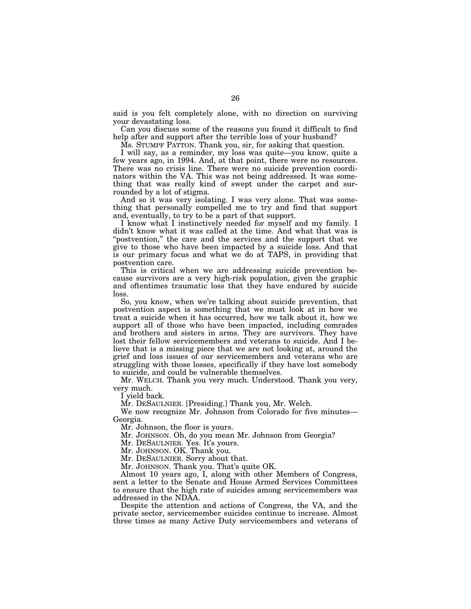said is you felt completely alone, with no direction on surviving your devastating loss.

Can you discuss some of the reasons you found it difficult to find help after and support after the terrible loss of your husband?

Ms. STUMPF PATTON. Thank you, sir, for asking that question.

I will say, as a reminder, my loss was quite—you know, quite a few years ago, in 1994. And, at that point, there were no resources. There was no crisis line. There were no suicide prevention coordinators within the VA. This was not being addressed. It was something that was really kind of swept under the carpet and surrounded by a lot of stigma.

And so it was very isolating. I was very alone. That was something that personally compelled me to try and find that support and, eventually, to try to be a part of that support.

I know what I instinctively needed for myself and my family. I didn't know what it was called at the time. And what that was is "postvention," the care and the services and the support that we give to those who have been impacted by a suicide loss. And that is our primary focus and what we do at TAPS, in providing that postvention care.

This is critical when we are addressing suicide prevention because survivors are a very high-risk population, given the graphic and oftentimes traumatic loss that they have endured by suicide loss.

So, you know, when we're talking about suicide prevention, that postvention aspect is something that we must look at in how we treat a suicide when it has occurred, how we talk about it, how we support all of those who have been impacted, including comrades and brothers and sisters in arms. They are survivors. They have lost their fellow servicemembers and veterans to suicide. And I believe that is a missing piece that we are not looking at, around the grief and loss issues of our servicemembers and veterans who are struggling with those losses, specifically if they have lost somebody to suicide, and could be vulnerable themselves.

Mr. WELCH. Thank you very much. Understood. Thank you very, very much.

I yield back.

Mr. DESAULNIER. [Presiding.] Thank you, Mr. Welch.

We now recognize Mr. Johnson from Colorado for five minutes— Georgia.

Mr. Johnson, the floor is yours.

Mr. JOHNSON. Oh, do you mean Mr. Johnson from Georgia?

Mr. DESAULNIER. Yes. It's yours.

Mr. JOHNSON. OK. Thank you.

Mr. DESAULNIER. Sorry about that.

Mr. JOHNSON. Thank you. That's quite OK.

Almost 10 years ago, I, along with other Members of Congress, sent a letter to the Senate and House Armed Services Committees to ensure that the high rate of suicides among servicemembers was addressed in the NDAA.

Despite the attention and actions of Congress, the VA, and the private sector, servicemember suicides continue to increase. Almost three times as many Active Duty servicemembers and veterans of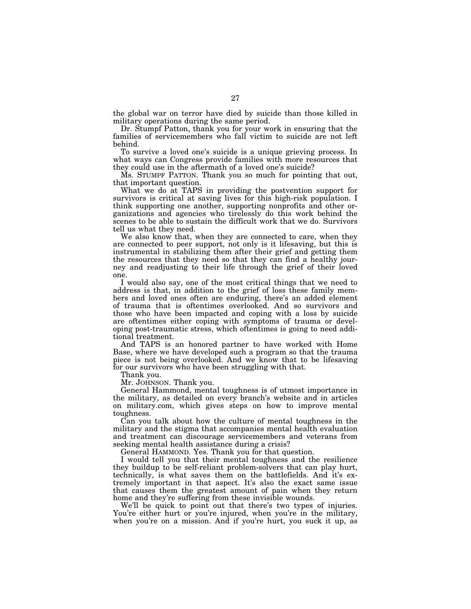the global war on terror have died by suicide than those killed in military operations during the same period.

Dr. Stumpf Patton, thank you for your work in ensuring that the families of servicemembers who fall victim to suicide are not left behind.

To survive a loved one's suicide is a unique grieving process. In what ways can Congress provide families with more resources that they could use in the aftermath of a loved one's suicide?

Ms. STUMPF PATTON. Thank you so much for pointing that out, that important question.

What we do at TAPS in providing the postvention support for survivors is critical at saving lives for this high-risk population. I think supporting one another, supporting nonprofits and other organizations and agencies who tirelessly do this work behind the scenes to be able to sustain the difficult work that we do. Survivors tell us what they need.

We also know that, when they are connected to care, when they are connected to peer support, not only is it lifesaving, but this is instrumental in stabilizing them after their grief and getting them the resources that they need so that they can find a healthy journey and readjusting to their life through the grief of their loved one.

I would also say, one of the most critical things that we need to address is that, in addition to the grief of loss these family members and loved ones often are enduring, there's an added element of trauma that is oftentimes overlooked. And so survivors and those who have been impacted and coping with a loss by suicide are oftentimes either coping with symptoms of trauma or developing post-traumatic stress, which oftentimes is going to need additional treatment.

And TAPS is an honored partner to have worked with Home Base, where we have developed such a program so that the trauma piece is not being overlooked. And we know that to be lifesaving for our survivors who have been struggling with that.

Thank you.

Mr. JOHNSON. Thank you.

General Hammond, mental toughness is of utmost importance in the military, as detailed on every branch's website and in articles on military.com, which gives steps on how to improve mental toughness.

Can you talk about how the culture of mental toughness in the military and the stigma that accompanies mental health evaluation and treatment can discourage servicemembers and veterans from seeking mental health assistance during a crisis?

General HAMMOND. Yes. Thank you for that question.

I would tell you that their mental toughness and the resilience they buildup to be self-reliant problem-solvers that can play hurt, technically, is what saves them on the battlefields. And it's extremely important in that aspect. It's also the exact same issue that causes them the greatest amount of pain when they return home and they're suffering from these invisible wounds.

We'll be quick to point out that there's two types of injuries. You're either hurt or you're injured, when you're in the military, when you're on a mission. And if you're hurt, you suck it up, as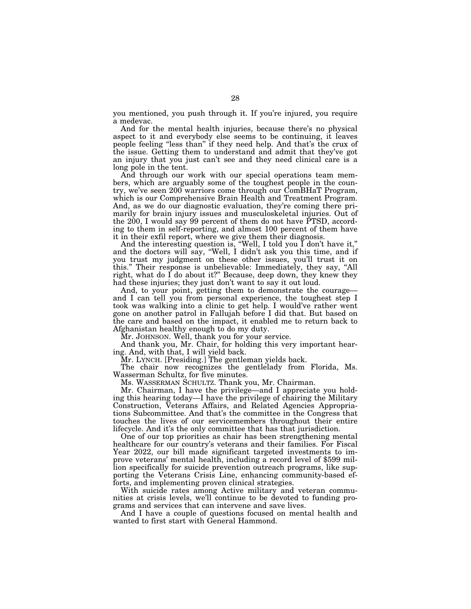you mentioned, you push through it. If you're injured, you require a medevac.

And for the mental health injuries, because there's no physical aspect to it and everybody else seems to be continuing, it leaves people feeling ''less than'' if they need help. And that's the crux of the issue. Getting them to understand and admit that they've got an injury that you just can't see and they need clinical care is a long pole in the tent.

And through our work with our special operations team members, which are arguably some of the toughest people in the country, we've seen 200 warriors come through our ComBHaT Program, which is our Comprehensive Brain Health and Treatment Program. And, as we do our diagnostic evaluation, they're coming there primarily for brain injury issues and musculoskeletal injuries. Out of the 200, I would say 99 percent of them do not have PTSD, according to them in self-reporting, and almost 100 percent of them have it in their exfil report, where we give them their diagnosis.

And the interesting question is, ''Well, I told you I don't have it,'' and the doctors will say, ''Well, I didn't ask you this time, and if you trust my judgment on these other issues, you'll trust it on this.'' Their response is unbelievable: Immediately, they say, ''All right, what do I do about it?'' Because, deep down, they knew they had these injuries; they just don't want to say it out loud.

And, to your point, getting them to demonstrate the courage and I can tell you from personal experience, the toughest step I took was walking into a clinic to get help. I would've rather went gone on another patrol in Fallujah before I did that. But based on the care and based on the impact, it enabled me to return back to Afghanistan healthy enough to do my duty.

Mr. JOHNSON. Well, thank you for your service.

And thank you, Mr. Chair, for holding this very important hearing. And, with that, I will yield back.

Mr. LYNCH. [Presiding.] The gentleman yields back.

The chair now recognizes the gentlelady from Florida, Ms. Wasserman Schultz, for five minutes.

Ms. WASSERMAN SCHULTZ. Thank you, Mr. Chairman.

Mr. Chairman, I have the privilege—and I appreciate you holding this hearing today—I have the privilege of chairing the Military Construction, Veterans Affairs, and Related Agencies Appropriations Subcommittee. And that's the committee in the Congress that touches the lives of our servicemembers throughout their entire lifecycle. And it's the only committee that has that jurisdiction.

One of our top priorities as chair has been strengthening mental healthcare for our country's veterans and their families. For Fiscal Year 2022, our bill made significant targeted investments to improve veterans' mental health, including a record level of \$599 million specifically for suicide prevention outreach programs, like supporting the Veterans Crisis Line, enhancing community-based efforts, and implementing proven clinical strategies.

With suicide rates among Active military and veteran communities at crisis levels, we'll continue to be devoted to funding programs and services that can intervene and save lives.

And I have a couple of questions focused on mental health and wanted to first start with General Hammond.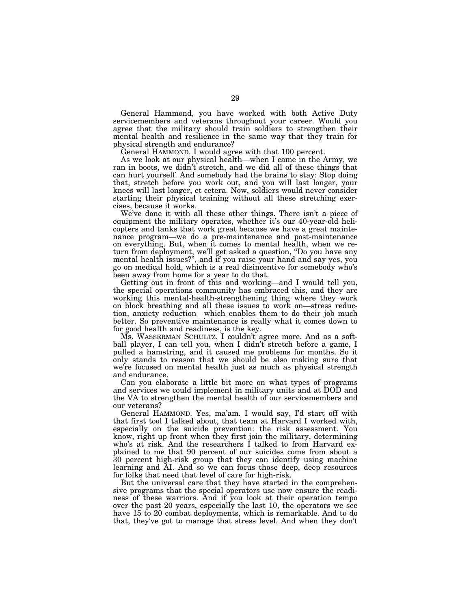General Hammond, you have worked with both Active Duty servicemembers and veterans throughout your career. Would you agree that the military should train soldiers to strengthen their mental health and resilience in the same way that they train for physical strength and endurance?

General HAMMOND. I would agree with that 100 percent.

As we look at our physical health—when I came in the Army, we ran in boots, we didn't stretch, and we did all of these things that can hurt yourself. And somebody had the brains to stay: Stop doing that, stretch before you work out, and you will last longer, your knees will last longer, et cetera. Now, soldiers would never consider starting their physical training without all these stretching exercises, because it works.

We've done it with all these other things. There isn't a piece of equipment the military operates, whether it's our 40-year-old helicopters and tanks that work great because we have a great maintenance program—we do a pre-maintenance and post-maintenance on everything. But, when it comes to mental health, when we return from deployment, we'll get asked a question, ''Do you have any mental health issues?'', and if you raise your hand and say yes, you go on medical hold, which is a real disincentive for somebody who's been away from home for a year to do that.

Getting out in front of this and working—and I would tell you, the special operations community has embraced this, and they are working this mental-health-strengthening thing where they work on block breathing and all these issues to work on—stress reduction, anxiety reduction—which enables them to do their job much better. So preventive maintenance is really what it comes down to for good health and readiness, is the key.

Ms. WASSERMAN SCHULTZ. I couldn't agree more. And as a softball player, I can tell you, when I didn't stretch before a game, I pulled a hamstring, and it caused me problems for months. So it only stands to reason that we should be also making sure that we're focused on mental health just as much as physical strength and endurance.

Can you elaborate a little bit more on what types of programs and services we could implement in military units and at DOD and the VA to strengthen the mental health of our servicemembers and our veterans?

General HAMMOND. Yes, ma'am. I would say, I'd start off with that first tool I talked about, that team at Harvard I worked with, especially on the suicide prevention: the risk assessment. You know, right up front when they first join the military, determining who's at risk. And the researchers I talked to from Harvard explained to me that 90 percent of our suicides come from about a 30 percent high-risk group that they can identify using machine learning and AI. And so we can focus those deep, deep resources for folks that need that level of care for high-risk.

But the universal care that they have started in the comprehensive programs that the special operators use now ensure the readiness of these warriors. And if you look at their operation tempo over the past 20 years, especially the last 10, the operators we see have 15 to 20 combat deployments, which is remarkable. And to do that, they've got to manage that stress level. And when they don't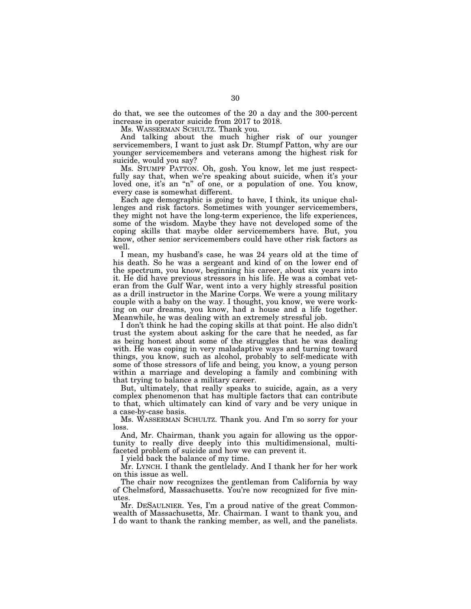do that, we see the outcomes of the 20 a day and the 300-percent increase in operator suicide from 2017 to 2018.

Ms. WASSERMAN SCHULTZ. Thank you.

And talking about the much higher risk of our younger servicemembers, I want to just ask Dr. Stumpf Patton, why are our younger servicemembers and veterans among the highest risk for suicide, would you say?

Ms. STUMPF PATTON. Oh, gosh. You know, let me just respectfully say that, when we're speaking about suicide, when it's your loved one, it's an "n" of one, or a population of one. You know, every case is somewhat different.

Each age demographic is going to have, I think, its unique challenges and risk factors. Sometimes with younger servicemembers, they might not have the long-term experience, the life experiences, some of the wisdom. Maybe they have not developed some of the coping skills that maybe older servicemembers have. But, you know, other senior servicemembers could have other risk factors as well.

I mean, my husband's case, he was 24 years old at the time of his death. So he was a sergeant and kind of on the lower end of the spectrum, you know, beginning his career, about six years into it. He did have previous stressors in his life. He was a combat veteran from the Gulf War, went into a very highly stressful position as a drill instructor in the Marine Corps. We were a young military couple with a baby on the way. I thought, you know, we were working on our dreams, you know, had a house and a life together. Meanwhile, he was dealing with an extremely stressful job.

I don't think he had the coping skills at that point. He also didn't trust the system about asking for the care that he needed, as far as being honest about some of the struggles that he was dealing with. He was coping in very maladaptive ways and turning toward things, you know, such as alcohol, probably to self-medicate with some of those stressors of life and being, you know, a young person within a marriage and developing a family and combining with that trying to balance a military career.

But, ultimately, that really speaks to suicide, again, as a very complex phenomenon that has multiple factors that can contribute to that, which ultimately can kind of vary and be very unique in a case-by-case basis.

Ms. WASSERMAN SCHULTZ. Thank you. And I'm so sorry for your loss.

And, Mr. Chairman, thank you again for allowing us the opportunity to really dive deeply into this multidimensional, multifaceted problem of suicide and how we can prevent it.

I yield back the balance of my time.

Mr. LYNCH. I thank the gentlelady. And I thank her for her work on this issue as well.

The chair now recognizes the gentleman from California by way of Chelmsford, Massachusetts. You're now recognized for five minutes.

Mr. DESAULNIER. Yes, I'm a proud native of the great Commonwealth of Massachusetts, Mr. Chairman. I want to thank you, and I do want to thank the ranking member, as well, and the panelists.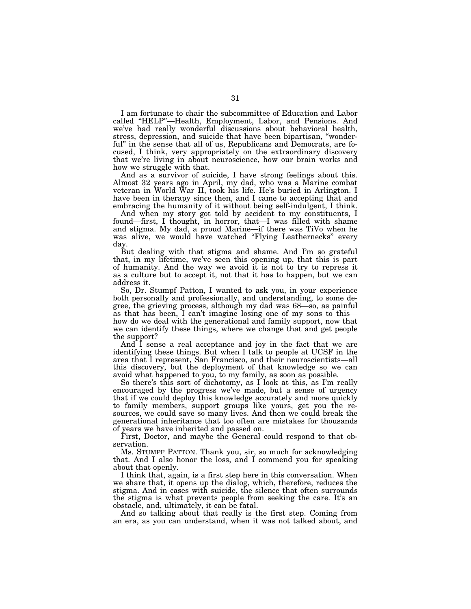I am fortunate to chair the subcommittee of Education and Labor called ''HELP''—Health, Employment, Labor, and Pensions. And we've had really wonderful discussions about behavioral health, stress, depression, and suicide that have been bipartisan, ''wonderful'' in the sense that all of us, Republicans and Democrats, are focused, I think, very appropriately on the extraordinary discovery that we're living in about neuroscience, how our brain works and how we struggle with that.

And as a survivor of suicide, I have strong feelings about this. Almost 32 years ago in April, my dad, who was a Marine combat veteran in World War II, took his life. He's buried in Arlington. I have been in therapy since then, and I came to accepting that and embracing the humanity of it without being self-indulgent, I think.

And when my story got told by accident to my constituents, I found—first, I thought, in horror, that—I was filled with shame and stigma. My dad, a proud Marine—if there was TiVo when he was alive, we would have watched "Flying Leathernecks" every day.

But dealing with that stigma and shame. And I'm so grateful that, in my lifetime, we've seen this opening up, that this is part of humanity. And the way we avoid it is not to try to repress it as a culture but to accept it, not that it has to happen, but we can address it.

So, Dr. Stumpf Patton, I wanted to ask you, in your experience both personally and professionally, and understanding, to some degree, the grieving process, although my dad was 68—so, as painful as that has been, I can't imagine losing one of my sons to this how do we deal with the generational and family support, now that we can identify these things, where we change that and get people the support?

And I sense a real acceptance and joy in the fact that we are identifying these things. But when I talk to people at UCSF in the area that I represent, San Francisco, and their neuroscientists—all this discovery, but the deployment of that knowledge so we can avoid what happened to you, to my family, as soon as possible.

So there's this sort of dichotomy, as I look at this, as I'm really encouraged by the progress we've made, but a sense of urgency that if we could deploy this knowledge accurately and more quickly to family members, support groups like yours, get you the resources, we could save so many lives. And then we could break the generational inheritance that too often are mistakes for thousands of years we have inherited and passed on.

First, Doctor, and maybe the General could respond to that observation.

Ms. STUMPF PATTON. Thank you, sir, so much for acknowledging that. And I also honor the loss, and I commend you for speaking about that openly.

I think that, again, is a first step here in this conversation. When we share that, it opens up the dialog, which, therefore, reduces the stigma. And in cases with suicide, the silence that often surrounds the stigma is what prevents people from seeking the care. It's an obstacle, and, ultimately, it can be fatal.

And so talking about that really is the first step. Coming from an era, as you can understand, when it was not talked about, and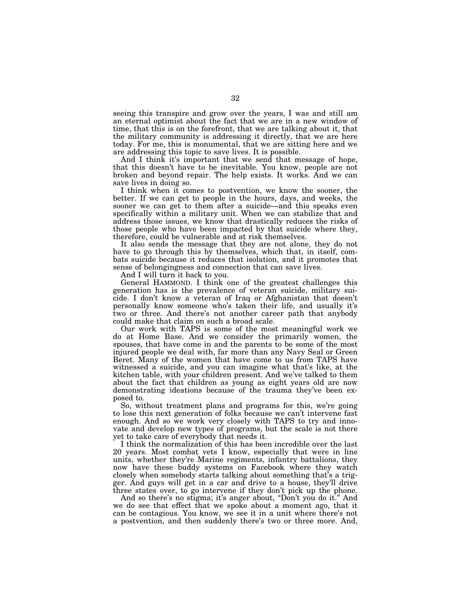seeing this transpire and grow over the years, I was and still am an eternal optimist about the fact that we are in a new window of time, that this is on the forefront, that we are talking about it, that the military community is addressing it directly, that we are here today. For me, this is monumental, that we are sitting here and we are addressing this topic to save lives. It is possible.

And I think it's important that we send that message of hope, that this doesn't have to be inevitable. You know, people are not broken and beyond repair. The help exists. It works. And we can save lives in doing so.

I think when it comes to postvention, we know the sooner, the better. If we can get to people in the hours, days, and weeks, the sooner we can get to them after a suicide—and this speaks even specifically within a military unit. When we can stabilize that and address those issues, we know that drastically reduces the risks of those people who have been impacted by that suicide where they, therefore, could be vulnerable and at risk themselves.

It also sends the message that they are not alone, they do not have to go through this by themselves, which that, in itself, combats suicide because it reduces that isolation, and it promotes that sense of belongingness and connection that can save lives.

And I will turn it back to you.

General HAMMOND. I think one of the greatest challenges this generation has is the prevalence of veteran suicide, military suicide. I don't know a veteran of Iraq or Afghanistan that doesn't personally know someone who's taken their life, and usually it's two or three. And there's not another career path that anybody could make that claim on such a broad scale.

Our work with TAPS is some of the most meaningful work we do at Home Base. And we consider the primarily women, the spouses, that have come in and the parents to be some of the most injured people we deal with, far more than any Navy Seal or Green Beret. Many of the women that have come to us from TAPS have witnessed a suicide, and you can imagine what that's like, at the kitchen table, with your children present. And we've talked to them about the fact that children as young as eight years old are now demonstrating ideations because of the trauma they've been exposed to.

So, without treatment plans and programs for this, we're going to lose this next generation of folks because we can't intervene fast enough. And so we work very closely with TAPS to try and innovate and develop new types of programs, but the scale is not there yet to take care of everybody that needs it.

I think the normalization of this has been incredible over the last 20 years. Most combat vets I know, especially that were in line units, whether they're Marine regiments, infantry battalions, they now have these buddy systems on Facebook where they watch closely when somebody starts talking about something that's a trigger. And guys will get in a car and drive to a house, they'll drive three states over, to go intervene if they don't pick up the phone.

And so there's no stigma; it's anger about, "Don't you do it." And we do see that effect that we spoke about a moment ago, that it can be contagious. You know, we see it in a unit where there's not a postvention, and then suddenly there's two or three more. And,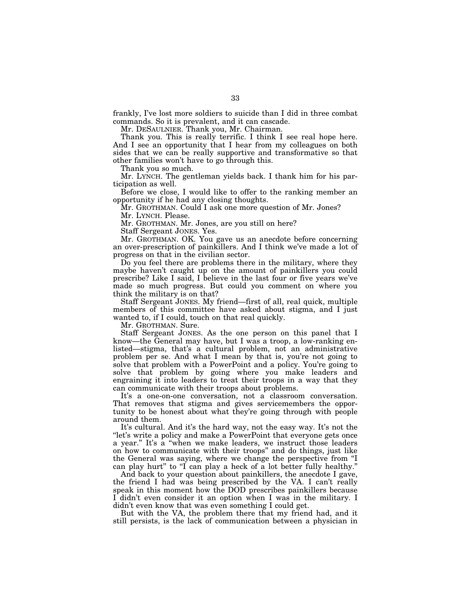frankly, I've lost more soldiers to suicide than I did in three combat commands. So it is prevalent, and it can cascade.

Mr. DESAULNIER. Thank you, Mr. Chairman.

Thank you. This is really terrific. I think I see real hope here. And I see an opportunity that I hear from my colleagues on both sides that we can be really supportive and transformative so that other families won't have to go through this.

Thank you so much.

Mr. LYNCH. The gentleman yields back. I thank him for his participation as well.

Before we close, I would like to offer to the ranking member an opportunity if he had any closing thoughts.

Mr. GROTHMAN. Could I ask one more question of Mr. Jones? Mr. LYNCH. Please.

Mr. GROTHMAN. Mr. Jones, are you still on here?

Staff Sergeant JONES. Yes.

Mr. GROTHMAN. OK. You gave us an anecdote before concerning an over-prescription of painkillers. And I think we've made a lot of progress on that in the civilian sector.

Do you feel there are problems there in the military, where they maybe haven't caught up on the amount of painkillers you could prescribe? Like I said, I believe in the last four or five years we've made so much progress. But could you comment on where you think the military is on that?

Staff Sergeant JONES. My friend—first of all, real quick, multiple members of this committee have asked about stigma, and I just wanted to, if I could, touch on that real quickly.

Mr. GROTHMAN. Sure.

Staff Sergeant JONES. As the one person on this panel that I know—the General may have, but I was a troop, a low-ranking enlisted—stigma, that's a cultural problem, not an administrative problem per se. And what I mean by that is, you're not going to solve that problem with a PowerPoint and a policy. You're going to solve that problem by going where you make leaders and engraining it into leaders to treat their troops in a way that they can communicate with their troops about problems.

It's a one-on-one conversation, not a classroom conversation. That removes that stigma and gives servicemembers the opportunity to be honest about what they're going through with people around them.

It's cultural. And it's the hard way, not the easy way. It's not the "let's write a policy and make a PowerPoint that everyone gets once a year.'' It's a ''when we make leaders, we instruct those leaders on how to communicate with their troops'' and do things, just like the General was saying, where we change the perspective from ''I can play hurt" to "I can play a heck of a lot better fully healthy."

And back to your question about painkillers, the anecdote I gave, the friend I had was being prescribed by the VA. I can't really speak in this moment how the DOD prescribes painkillers because I didn't even consider it an option when I was in the military. I didn't even know that was even something I could get.

But with the VA, the problem there that my friend had, and it still persists, is the lack of communication between a physician in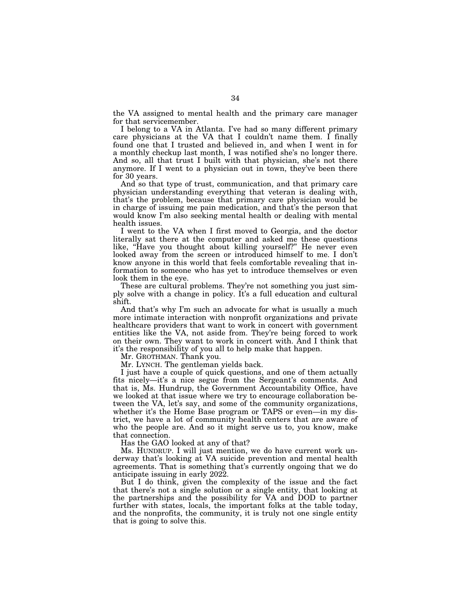the VA assigned to mental health and the primary care manager for that servicemember.

I belong to a VA in Atlanta. I've had so many different primary care physicians at the VA that I couldn't name them. I finally found one that I trusted and believed in, and when I went in for a monthly checkup last month, I was notified she's no longer there. And so, all that trust I built with that physician, she's not there anymore. If I went to a physician out in town, they've been there for 30 years.

And so that type of trust, communication, and that primary care physician understanding everything that veteran is dealing with, that's the problem, because that primary care physician would be in charge of issuing me pain medication, and that's the person that would know I'm also seeking mental health or dealing with mental health issues.

I went to the VA when I first moved to Georgia, and the doctor literally sat there at the computer and asked me these questions like, ''Have you thought about killing yourself?'' He never even looked away from the screen or introduced himself to me. I don't know anyone in this world that feels comfortable revealing that information to someone who has yet to introduce themselves or even look them in the eye.

These are cultural problems. They're not something you just simply solve with a change in policy. It's a full education and cultural shift.

And that's why I'm such an advocate for what is usually a much more intimate interaction with nonprofit organizations and private healthcare providers that want to work in concert with government entities like the VA, not aside from. They're being forced to work on their own. They want to work in concert with. And I think that it's the responsibility of you all to help make that happen.

Mr. GROTHMAN. Thank you.

Mr. LYNCH. The gentleman yields back.

I just have a couple of quick questions, and one of them actually fits nicely—it's a nice segue from the Sergeant's comments. And that is, Ms. Hundrup, the Government Accountability Office, have we looked at that issue where we try to encourage collaboration between the VA, let's say, and some of the community organizations, whether it's the Home Base program or TAPS or even—in my district, we have a lot of community health centers that are aware of who the people are. And so it might serve us to, you know, make that connection.

Has the GAO looked at any of that?

Ms. HUNDRUP. I will just mention, we do have current work underway that's looking at VA suicide prevention and mental health agreements. That is something that's currently ongoing that we do anticipate issuing in early 2022.

But I do think, given the complexity of the issue and the fact that there's not a single solution or a single entity, that looking at the partnerships and the possibility for VA and DOD to partner further with states, locals, the important folks at the table today, and the nonprofits, the community, it is truly not one single entity that is going to solve this.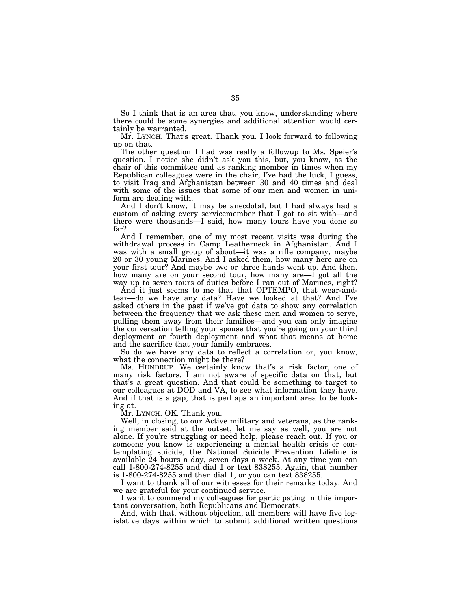So I think that is an area that, you know, understanding where there could be some synergies and additional attention would certainly be warranted.

Mr. LYNCH. That's great. Thank you. I look forward to following up on that.

The other question I had was really a followup to Ms. Speier's question. I notice she didn't ask you this, but, you know, as the chair of this committee and as ranking member in times when my Republican colleagues were in the chair, I've had the luck, I guess, to visit Iraq and Afghanistan between 30 and 40 times and deal with some of the issues that some of our men and women in uniform are dealing with.

And I don't know, it may be anecdotal, but I had always had a custom of asking every servicemember that I got to sit with—and there were thousands—I said, how many tours have you done so far?

And I remember, one of my most recent visits was during the withdrawal process in Camp Leatherneck in Afghanistan. And I was with a small group of about—it was a rifle company, maybe 20 or 30 young Marines. And I asked them, how many here are on your first tour? And maybe two or three hands went up. And then, how many are on your second tour, how many are—I got all the way up to seven tours of duties before I ran out of Marines, right?

And it just seems to me that that OPTEMPO, that wear-andtear—do we have any data? Have we looked at that? And I've asked others in the past if we've got data to show any correlation between the frequency that we ask these men and women to serve, pulling them away from their families—and you can only imagine the conversation telling your spouse that you're going on your third deployment or fourth deployment and what that means at home and the sacrifice that your family embraces.

So do we have any data to reflect a correlation or, you know, what the connection might be there?

Ms. HUNDRUP. We certainly know that's a risk factor, one of many risk factors. I am not aware of specific data on that, but that's a great question. And that could be something to target to our colleagues at DOD and VA, to see what information they have. And if that is a gap, that is perhaps an important area to be looking at.

Mr. LYNCH. OK. Thank you.

Well, in closing, to our Active military and veterans, as the ranking member said at the outset, let me say as well, you are not alone. If you're struggling or need help, please reach out. If you or someone you know is experiencing a mental health crisis or contemplating suicide, the National Suicide Prevention Lifeline is available 24 hours a day, seven days a week. At any time you can call 1-800-274-8255 and dial 1 or text 838255. Again, that number is 1-800-274-8255 and then dial 1, or you can text 838255.

I want to thank all of our witnesses for their remarks today. And we are grateful for your continued service.

I want to commend my colleagues for participating in this important conversation, both Republicans and Democrats.

And, with that, without objection, all members will have five legislative days within which to submit additional written questions